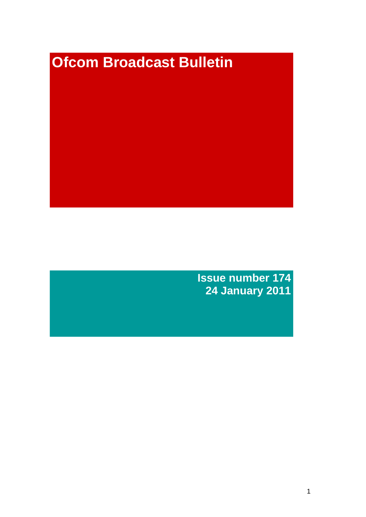# **Ofcom Broadcast Bulletin**

**Issue number 174 24 January 2011**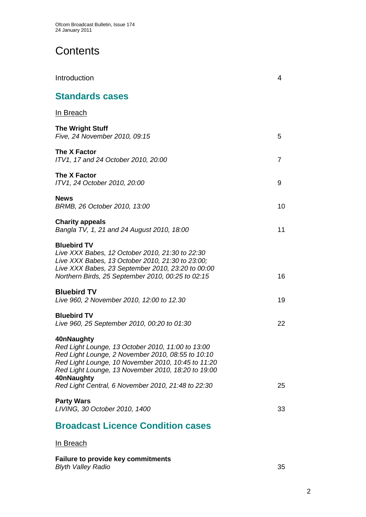# **Contents**

| Introduction                                                                                                                                                                                                                                                                                         | 4              |
|------------------------------------------------------------------------------------------------------------------------------------------------------------------------------------------------------------------------------------------------------------------------------------------------------|----------------|
| <b>Standards cases</b>                                                                                                                                                                                                                                                                               |                |
| <u>In Breach</u>                                                                                                                                                                                                                                                                                     |                |
| <b>The Wright Stuff</b><br>Five, 24 November 2010, 09:15                                                                                                                                                                                                                                             | 5              |
| The X Factor<br>ITV1, 17 and 24 October 2010, 20:00                                                                                                                                                                                                                                                  | $\overline{7}$ |
| The X Factor<br>ITV1, 24 October 2010, 20:00                                                                                                                                                                                                                                                         | 9              |
| <b>News</b><br>BRMB, 26 October 2010, 13:00                                                                                                                                                                                                                                                          | 10             |
| <b>Charity appeals</b><br>Bangla TV, 1, 21 and 24 August 2010, 18:00                                                                                                                                                                                                                                 | 11             |
| <b>Bluebird TV</b><br>Live XXX Babes, 12 October 2010, 21:30 to 22:30<br>Live XXX Babes, 13 October 2010, 21:30 to 23:00;<br>Live XXX Babes, 23 September 2010, 23:20 to 00:00<br>Northern Birds, 25 September 2010, 00:25 to 02:15                                                                  | 16             |
| <b>Bluebird TV</b><br>Live 960, 2 November 2010, 12:00 to 12.30                                                                                                                                                                                                                                      | 19             |
| <b>Bluebird TV</b><br>Live 960, 25 September 2010, 00:20 to 01:30                                                                                                                                                                                                                                    | 22             |
| 40nNaughty<br>Red Light Lounge, 13 October 2010, 11:00 to 13:00<br>Red Light Lounge, 2 November 2010, 08:55 to 10:10<br>Red Light Lounge, 10 November 2010, 10:45 to 11:20<br>Red Light Lounge, 13 November 2010, 18:20 to 19:00<br>40nNaughty<br>Red Light Central, 6 November 2010, 21:48 to 22:30 | 25             |
| <b>Party Wars</b><br>LIVING, 30 October 2010, 1400                                                                                                                                                                                                                                                   | 33             |
| <b>Broadcast Licence Condition cases</b>                                                                                                                                                                                                                                                             |                |

## In Breach

**Failure to provide key commitments** *Blyth Valley Radio* 35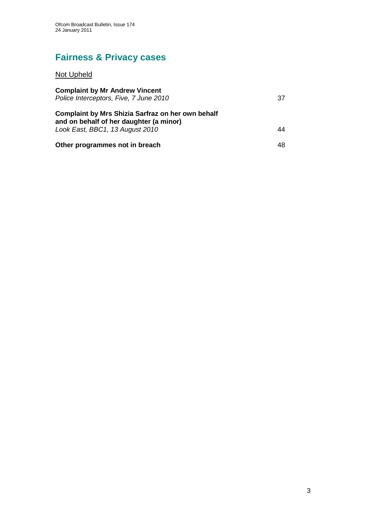# **Fairness & Privacy cases**

# Not Upheld

| <b>Complaint by Mr Andrew Vincent</b><br>Police Interceptors, Five, 7 June 2010                                                        | 37 |
|----------------------------------------------------------------------------------------------------------------------------------------|----|
| <b>Complaint by Mrs Shizia Sarfraz on her own behalf</b><br>and on behalf of her daughter (a minor)<br>Look East, BBC1, 13 August 2010 | 44 |
| Other programmes not in breach                                                                                                         | 48 |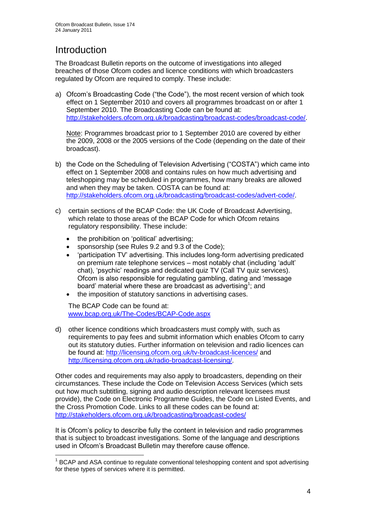# **Introduction**

1

The Broadcast Bulletin reports on the outcome of investigations into alleged breaches of those Ofcom codes and licence conditions with which broadcasters regulated by Ofcom are required to comply. These include:

a) Ofcom"s Broadcasting Code ("the Code"), the most recent version of which took effect on 1 September 2010 and covers all programmes broadcast on or after 1 September 2010. The Broadcasting Code can be found at: [http://stakeholders.ofcom.org.uk/broadcasting/broadcast-codes/broadcast-code/.](http://stakeholders.ofcom.org.uk/broadcasting/broadcast-codes/broadcast-code/)

Note: Programmes broadcast prior to 1 September 2010 are covered by either the 2009, 2008 or the 2005 versions of the Code (depending on the date of their broadcast).

- b) the Code on the Scheduling of Television Advertising ("COSTA") which came into effect on 1 September 2008 and contains rules on how much advertising and teleshopping may be scheduled in programmes, how many breaks are allowed and when they may be taken. COSTA can be found at: [http://stakeholders.ofcom.org.uk/broadcasting/broadcast-codes/advert-code/.](http://stakeholders.ofcom.org.uk/broadcasting/broadcast-codes/advert-code/)
- c) certain sections of the BCAP Code: the UK Code of Broadcast Advertising, which relate to those areas of the BCAP Code for which Ofcom retains regulatory responsibility. These include:
	- the prohibition on 'political' advertising;
	- sponsorship (see Rules 9.2 and 9.3 of the Code);
	- "participation TV" advertising. This includes long-form advertising predicated on premium rate telephone services – most notably chat (including "adult" chat), "psychic" readings and dedicated quiz TV (Call TV quiz services). Ofcom is also responsible for regulating gambling, dating and "message board' material where these are broadcast as advertising<sup>1</sup>; and
	- the imposition of statutory sanctions in advertising cases.

The BCAP Code can be found at: [www.bcap.org.uk/The-Codes/BCAP-Code.aspx](http://www.bcap.org.uk/The-Codes/BCAP-Code.aspx)

d) other licence conditions which broadcasters must comply with, such as requirements to pay fees and submit information which enables Ofcom to carry out its statutory duties. Further information on television and radio licences can be found at:<http://licensing.ofcom.org.uk/tv-broadcast-licences/> and [http://licensing.ofcom.org.uk/radio-broadcast-licensing/.](http://licensing.ofcom.org.uk/radio-broadcast-licensing/)

Other codes and requirements may also apply to broadcasters, depending on their circumstances. These include the Code on Television Access Services (which sets out how much subtitling, signing and audio description relevant licensees must provide), the Code on Electronic Programme Guides, the Code on Listed Events, and the Cross Promotion Code. Links to all these codes can be found at: <http://stakeholders.ofcom.org.uk/broadcasting/broadcast-codes/>

It is Ofcom"s policy to describe fully the content in television and radio programmes that is subject to broadcast investigations. Some of the language and descriptions used in Ofcom"s Broadcast Bulletin may therefore cause offence.

<sup>&</sup>lt;sup>1</sup> BCAP and ASA continue to regulate conventional teleshopping content and spot advertising for these types of services where it is permitted.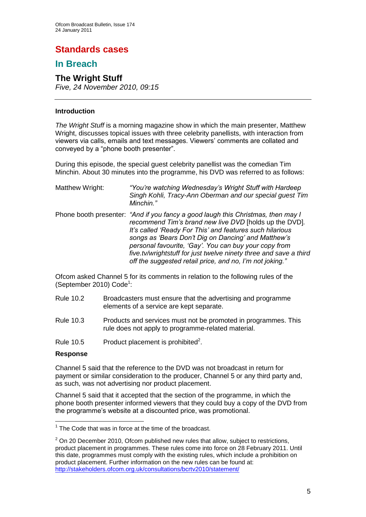# **Standards cases**

## **In Breach**

## **The Wright Stuff**

*Five, 24 November 2010, 09:15*

#### **Introduction**

*The Wright Stuff* is a morning magazine show in which the main presenter, Matthew Wright, discusses topical issues with three celebrity panellists, with interaction from viewers via calls, emails and text messages. Viewers" comments are collated and conveyed by a "phone booth presenter".

During this episode, the special guest celebrity panellist was the comedian Tim Minchin. About 30 minutes into the programme, his DVD was referred to as follows:

| Matthew Wright: | "You're watching Wednesday's Wright Stuff with Hardeep<br>Singh Kohli, Tracy-Ann Oberman and our special guest Tim<br>Minchin."                                                                                                                                                                                                                                                                                                                         |
|-----------------|---------------------------------------------------------------------------------------------------------------------------------------------------------------------------------------------------------------------------------------------------------------------------------------------------------------------------------------------------------------------------------------------------------------------------------------------------------|
|                 | Phone booth presenter: "And if you fancy a good laugh this Christmas, then may I<br>recommend Tim's brand new live DVD [holds up the DVD].<br>It's called 'Ready For This' and features such hilarious<br>songs as 'Bears Don't Dig on Dancing' and Matthew's<br>personal favourite, 'Gay'. You can buy your copy from<br>five.tv/wrightstuff for just twelve ninety three and save a third<br>off the suggested retail price, and no, I'm not joking." |

Ofcom asked Channel 5 for its comments in relation to the following rules of the (September 2010) Code<sup>1</sup>:

- Rule 10.2 Broadcasters must ensure that the advertising and programme elements of a service are kept separate.
- Rule 10.3 Products and services must not be promoted in programmes. This rule does not apply to programme-related material.
- Rule 10.5 Product placement is prohibited<sup>2</sup>.

#### **Response**

1

Channel 5 said that the reference to the DVD was not broadcast in return for payment or similar consideration to the producer, Channel 5 or any third party and, as such, was not advertising nor product placement.

Channel 5 said that it accepted that the section of the programme, in which the phone booth presenter informed viewers that they could buy a copy of the DVD from the programme"s website at a discounted price, was promotional.

 $1$  The Code that was in force at the time of the broadcast.

 $2$  On 20 December 2010, Ofcom published new rules that allow, subject to restrictions, product placement in programmes. These rules come into force on 28 February 2011. Until this date, programmes must comply with the existing rules, which include a prohibition on product placement. Further information on the new rules can be found at: <http://stakeholders.ofcom.org.uk/consultations/bcrtv2010/statement/>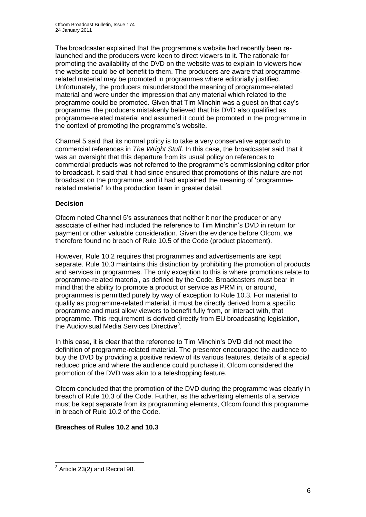The broadcaster explained that the programme's website had recently been relaunched and the producers were keen to direct viewers to it. The rationale for promoting the availability of the DVD on the website was to explain to viewers how the website could be of benefit to them. The producers are aware that programmerelated material may be promoted in programmes where editorially justified. Unfortunately, the producers misunderstood the meaning of programme-related material and were under the impression that any material which related to the programme could be promoted. Given that Tim Minchin was a guest on that day"s programme, the producers mistakenly believed that his DVD also qualified as programme-related material and assumed it could be promoted in the programme in the context of promoting the programme"s website.

Channel 5 said that its normal policy is to take a very conservative approach to commercial references in *The Wright Stuff*. In this case, the broadcaster said that it was an oversight that this departure from its usual policy on references to commercial products was not referred to the programme"s commissioning editor prior to broadcast. It said that it had since ensured that promotions of this nature are not broadcast on the programme, and it had explained the meaning of "programmerelated material" to the production team in greater detail.

#### **Decision**

Ofcom noted Channel 5"s assurances that neither it nor the producer or any associate of either had included the reference to Tim Minchin"s DVD in return for payment or other valuable consideration. Given the evidence before Ofcom, we therefore found no breach of Rule 10.5 of the Code (product placement).

However, Rule 10.2 requires that programmes and advertisements are kept separate. Rule 10.3 maintains this distinction by prohibiting the promotion of products and services in programmes. The only exception to this is where promotions relate to programme-related material, as defined by the Code. Broadcasters must bear in mind that the ability to promote a product or service as PRM in, or around, programmes is permitted purely by way of exception to Rule 10.3. For material to qualify as programme-related material, it must be directly derived from a specific programme and must allow viewers to benefit fully from, or interact with, that programme. This requirement is derived directly from EU broadcasting legislation, the Audiovisual Media Services Directive<sup>3</sup>.

In this case, it is clear that the reference to Tim Minchin"s DVD did not meet the definition of programme-related material. The presenter encouraged the audience to buy the DVD by providing a positive review of its various features, details of a special reduced price and where the audience could purchase it. Ofcom considered the promotion of the DVD was akin to a teleshopping feature.

Ofcom concluded that the promotion of the DVD during the programme was clearly in breach of Rule 10.3 of the Code. Further, as the advertising elements of a service must be kept separate from its programming elements, Ofcom found this programme in breach of Rule 10.2 of the Code.

#### **Breaches of Rules 10.2 and 10.3**

 3 Article 23(2) and Recital 98.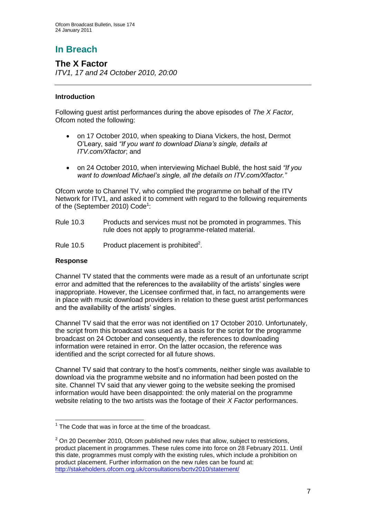## **The X Factor**

*ITV1, 17 and 24 October 2010, 20:00*

#### **Introduction**

Following guest artist performances during the above episodes of *The X Factor,*  Ofcom noted the following:

- on 17 October 2010, when speaking to Diana Vickers, the host, Dermot O"Leary, said *"If you want to download Diana"s single, details at ITV.com/Xfactor*; and
- on 24 October 2010, when interviewing Michael Bublé, the host said *"If you want to download Michael"s single, all the details on ITV.com/Xfactor."*

Ofcom wrote to Channel TV, who complied the programme on behalf of the ITV Network for ITV1, and asked it to comment with regard to the following requirements of the (September 2010) Code<sup>1</sup>:

- Rule 10.3 Products and services must not be promoted in programmes. This rule does not apply to programme-related material.
- Rule 10.5 Product placement is prohibited<sup>2</sup>.

#### **Response**

Channel TV stated that the comments were made as a result of an unfortunate script error and admitted that the references to the availability of the artists" singles were inappropriate. However, the Licensee confirmed that, in fact, no arrangements were in place with music download providers in relation to these guest artist performances and the availability of the artists' singles.

Channel TV said that the error was not identified on 17 October 2010. Unfortunately, the script from this broadcast was used as a basis for the script for the programme broadcast on 24 October and consequently, the references to downloading information were retained in error. On the latter occasion, the reference was identified and the script corrected for all future shows.

Channel TV said that contrary to the host"s comments, neither single was available to download via the programme website and no information had been posted on the site. Channel TV said that any viewer going to the website seeking the promised information would have been disappointed: the only material on the programme website relating to the two artists was the footage of their *X Factor* performances.

 1 The Code that was in force at the time of the broadcast.

 $2$  On 20 December 2010, Ofcom published new rules that allow, subject to restrictions, product placement in programmes. These rules come into force on 28 February 2011. Until this date, programmes must comply with the existing rules, which include a prohibition on product placement. Further information on the new rules can be found at: <http://stakeholders.ofcom.org.uk/consultations/bcrtv2010/statement/>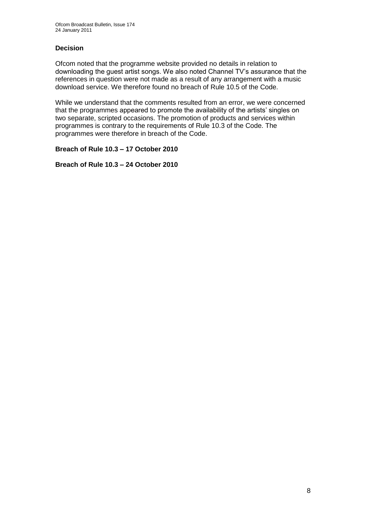#### **Decision**

Ofcom noted that the programme website provided no details in relation to downloading the guest artist songs. We also noted Channel TV"s assurance that the references in question were not made as a result of any arrangement with a music download service. We therefore found no breach of Rule 10.5 of the Code.

While we understand that the comments resulted from an error, we were concerned that the programmes appeared to promote the availability of the artists' singles on two separate, scripted occasions. The promotion of products and services within programmes is contrary to the requirements of Rule 10.3 of the Code. The programmes were therefore in breach of the Code.

#### **Breach of Rule 10.3 – 17 October 2010**

**Breach of Rule 10.3 – 24 October 2010**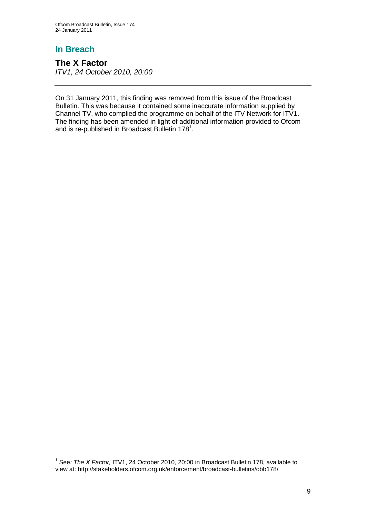1

**The X Factor** *ITV1, 24 October 2010, 20:00*

On 31 January 2011, this finding was removed from this issue of the Broadcast Bulletin. This was because it contained some inaccurate information supplied by Channel TV, who complied the programme on behalf of the ITV Network for ITV1. The finding has been amended in light of additional information provided to Ofcom and is re-published in Broadcast Bulletin 178<sup>1</sup>.

<sup>&</sup>lt;sup>1</sup> See: The X Factor, ITV1, 24 October 2010, 20:00 in Broadcast Bulletin 178, available to view at: http://stakeholders.ofcom.org.uk/enforcement/broadcast-bulletins/obb178/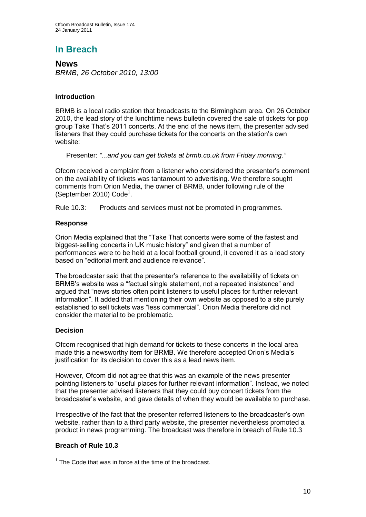**News** *BRMB, 26 October 2010, 13:00*

#### **Introduction**

BRMB is a local radio station that broadcasts to the Birmingham area. On 26 October 2010, the lead story of the lunchtime news bulletin covered the sale of tickets for pop group Take That"s 2011 concerts. At the end of the news item, the presenter advised listeners that they could purchase tickets for the concerts on the station"s own website:

Presenter: *"...and you can get tickets at brmb.co.uk from Friday morning."*

Ofcom received a complaint from a listener who considered the presenter"s comment on the availability of tickets was tantamount to advertising. We therefore sought comments from Orion Media, the owner of BRMB, under following rule of the (September 2010) Code<sup>1</sup>.

Rule 10.3: Products and services must not be promoted in programmes.

#### **Response**

Orion Media explained that the "Take That concerts were some of the fastest and biggest-selling concerts in UK music history" and given that a number of performances were to be held at a local football ground, it covered it as a lead story based on "editorial merit and audience relevance".

The broadcaster said that the presenter"s reference to the availability of tickets on BRMB"s website was a "factual single statement, not a repeated insistence" and argued that "news stories often point listeners to useful places for further relevant information". It added that mentioning their own website as opposed to a site purely established to sell tickets was "less commercial". Orion Media therefore did not consider the material to be problematic.

#### **Decision**

Ofcom recognised that high demand for tickets to these concerts in the local area made this a newsworthy item for BRMB. We therefore accepted Orion"s Media"s justification for its decision to cover this as a lead news item.

However, Ofcom did not agree that this was an example of the news presenter pointing listeners to "useful places for further relevant information". Instead, we noted that the presenter advised listeners that they could buy concert tickets from the broadcaster"s website, and gave details of when they would be available to purchase.

Irrespective of the fact that the presenter referred listeners to the broadcaster"s own website, rather than to a third party website, the presenter nevertheless promoted a product in news programming. The broadcast was therefore in breach of Rule 10.3

#### **Breach of Rule 10.3**

<sup>1</sup>  $1$  The Code that was in force at the time of the broadcast.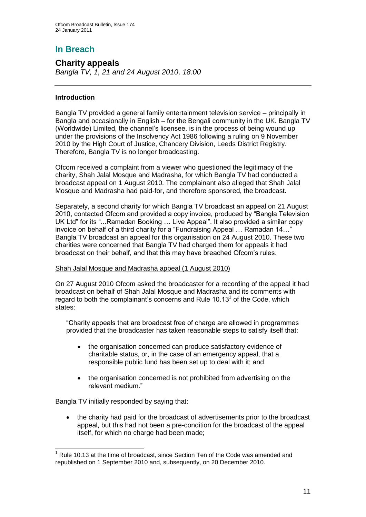#### **Charity appeals** *Bangla TV, 1, 21 and 24 August 2010, 18:00*

#### **Introduction**

Bangla TV provided a general family entertainment television service – principally in Bangla and occasionally in English – for the Bengali community in the UK. Bangla TV (Worldwide) Limited, the channel"s licensee, is in the process of being wound up under the provisions of the Insolvency Act 1986 following a ruling on 9 November 2010 by the High Court of Justice, Chancery Division, Leeds District Registry. Therefore, Bangla TV is no longer broadcasting.

Ofcom received a complaint from a viewer who questioned the legitimacy of the charity, Shah Jalal Mosque and Madrasha, for which Bangla TV had conducted a broadcast appeal on 1 August 2010. The complainant also alleged that Shah Jalal Mosque and Madrasha had paid-for, and therefore sponsored, the broadcast.

Separately, a second charity for which Bangla TV broadcast an appeal on 21 August 2010, contacted Ofcom and provided a copy invoice, produced by "Bangla Television UK Ltd" for its "...Ramadan Booking … Live Appeal". It also provided a similar copy invoice on behalf of a third charity for a "Fundraising Appeal … Ramadan 14…" Bangla TV broadcast an appeal for this organisation on 24 August 2010. These two charities were concerned that Bangla TV had charged them for appeals it had broadcast on their behalf, and that this may have breached Ofcom"s rules.

#### Shah Jalal Mosque and Madrasha appeal (1 August 2010)

On 27 August 2010 Ofcom asked the broadcaster for a recording of the appeal it had broadcast on behalf of Shah Jalal Mosque and Madrasha and its comments with regard to both the complainant's concerns and Rule  $10.13<sup>1</sup>$  of the Code, which states:

"Charity appeals that are broadcast free of charge are allowed in programmes provided that the broadcaster has taken reasonable steps to satisfy itself that:

- the organisation concerned can produce satisfactory evidence of charitable status, or, in the case of an emergency appeal, that a responsible public fund has been set up to deal with it; and
- the organisation concerned is not prohibited from advertising on the relevant medium."

Bangla TV initially responded by saying that:

1

• the charity had paid for the broadcast of advertisements prior to the broadcast appeal, but this had not been a pre-condition for the broadcast of the appeal itself, for which no charge had been made;

 $<sup>1</sup>$  Rule 10.13 at the time of broadcast, since Section Ten of the Code was amended and</sup> republished on 1 September 2010 and, subsequently, on 20 December 2010.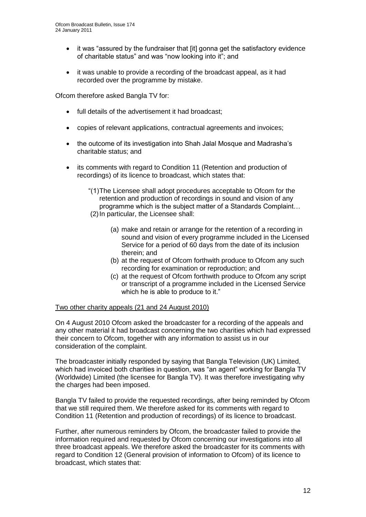- it was "assured by the fundraiser that [it] gonna get the satisfactory evidence of charitable status" and was "now looking into it"; and
- it was unable to provide a recording of the broadcast appeal, as it had recorded over the programme by mistake.

Ofcom therefore asked Bangla TV for:

- full details of the advertisement it had broadcast:
- copies of relevant applications, contractual agreements and invoices;
- the outcome of its investigation into Shah Jalal Mosque and Madrasha's charitable status; and
- its comments with regard to Condition 11 (Retention and production of recordings) of its licence to broadcast, which states that:
	- "(1)The Licensee shall adopt procedures acceptable to Ofcom for the retention and production of recordings in sound and vision of any programme which is the subject matter of a Standards Complaint… (2)In particular, the Licensee shall:
		- (a) make and retain or arrange for the retention of a recording in sound and vision of every programme included in the Licensed Service for a period of 60 days from the date of its inclusion therein; and
		- (b) at the request of Ofcom forthwith produce to Ofcom any such recording for examination or reproduction; and
		- (c) at the request of Ofcom forthwith produce to Ofcom any script or transcript of a programme included in the Licensed Service which he is able to produce to it."

#### Two other charity appeals (21 and 24 August 2010)

On 4 August 2010 Ofcom asked the broadcaster for a recording of the appeals and any other material it had broadcast concerning the two charities which had expressed their concern to Ofcom, together with any information to assist us in our consideration of the complaint.

The broadcaster initially responded by saying that Bangla Television (UK) Limited, which had invoiced both charities in question, was "an agent" working for Bangla TV (Worldwide) Limited (the licensee for Bangla TV). It was therefore investigating why the charges had been imposed.

Bangla TV failed to provide the requested recordings, after being reminded by Ofcom that we still required them. We therefore asked for its comments with regard to Condition 11 (Retention and production of recordings) of its licence to broadcast.

Further, after numerous reminders by Ofcom, the broadcaster failed to provide the information required and requested by Ofcom concerning our investigations into all three broadcast appeals. We therefore asked the broadcaster for its comments with regard to Condition 12 (General provision of information to Ofcom) of its licence to broadcast, which states that: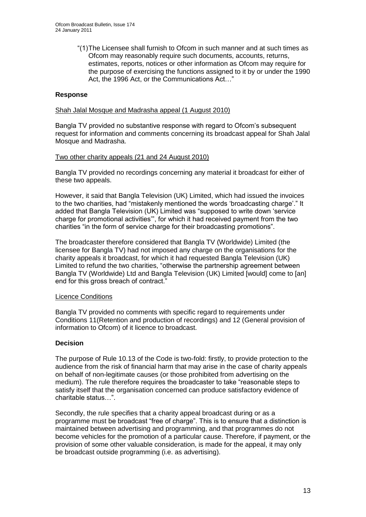"(1)The Licensee shall furnish to Ofcom in such manner and at such times as Ofcom may reasonably require such documents, accounts, returns, estimates, reports, notices or other information as Ofcom may require for the purpose of exercising the functions assigned to it by or under the 1990 Act, the 1996 Act, or the Communications Act…"

#### **Response**

#### Shah Jalal Mosque and Madrasha appeal (1 August 2010)

Bangla TV provided no substantive response with regard to Ofcom"s subsequent request for information and comments concerning its broadcast appeal for Shah Jalal Mosque and Madrasha.

#### Two other charity appeals (21 and 24 August 2010)

Bangla TV provided no recordings concerning any material it broadcast for either of these two appeals.

However, it said that Bangla Television (UK) Limited, which had issued the invoices to the two charities, had "mistakenly mentioned the words "broadcasting charge"." It added that Bangla Television (UK) Limited was "supposed to write down "service charge for promotional activities"", for which it had received payment from the two charities "in the form of service charge for their broadcasting promotions".

The broadcaster therefore considered that Bangla TV (Worldwide) Limited (the licensee for Bangla TV) had not imposed any charge on the organisations for the charity appeals it broadcast, for which it had requested Bangla Television (UK) Limited to refund the two charities, "otherwise the partnership agreement between Bangla TV (Worldwide) Ltd and Bangla Television (UK) Limited [would] come to [an] end for this gross breach of contract."

#### Licence Conditions

Bangla TV provided no comments with specific regard to requirements under Conditions 11(Retention and production of recordings) and 12 (General provision of information to Ofcom) of it licence to broadcast.

#### **Decision**

The purpose of Rule 10.13 of the Code is two-fold: firstly, to provide protection to the audience from the risk of financial harm that may arise in the case of charity appeals on behalf of non-legitimate causes (or those prohibited from advertising on the medium). The rule therefore requires the broadcaster to take "reasonable steps to satisfy itself that the organisation concerned can produce satisfactory evidence of charitable status…".

Secondly, the rule specifies that a charity appeal broadcast during or as a programme must be broadcast "free of charge". This is to ensure that a distinction is maintained between advertising and programming, and that programmes do not become vehicles for the promotion of a particular cause. Therefore, if payment, or the provision of some other valuable consideration, is made for the appeal, it may only be broadcast outside programming (i.e. as advertising).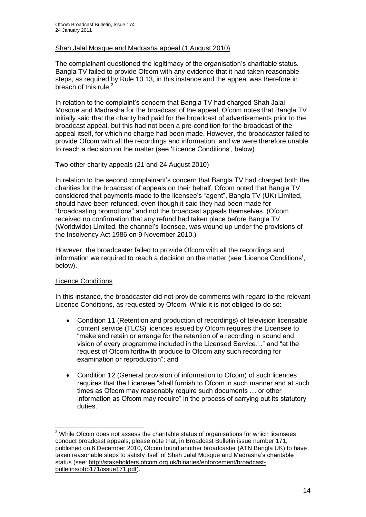#### Shah Jalal Mosque and Madrasha appeal (1 August 2010)

The complainant questioned the legitimacy of the organisation"s charitable status. Bangla TV failed to provide Ofcom with any evidence that it had taken reasonable steps, as required by Rule 10.13, in this instance and the appeal was therefore in breach of this rule.<sup>2</sup>

In relation to the complaint"s concern that Bangla TV had charged Shah Jalal Mosque and Madrasha for the broadcast of the appeal, Ofcom notes that Bangla TV initially said that the charity had paid for the broadcast of advertisements prior to the broadcast appeal, but this had not been a pre-condition for the broadcast of the appeal itself, for which no charge had been made. However, the broadcaster failed to provide Ofcom with all the recordings and information, and we were therefore unable to reach a decision on the matter (see "Licence Conditions", below).

#### Two other charity appeals (21 and 24 August 2010)

In relation to the second complainant's concern that Bangla TV had charged both the charities for the broadcast of appeals on their behalf, Ofcom noted that Bangla TV considered that payments made to the licensee's "agent", Bangla TV (UK) Limited, should have been refunded, even though it said they had been made for "broadcasting promotions" and not the broadcast appeals themselves. (Ofcom received no confirmation that any refund had taken place before Bangla TV (Worldwide) Limited, the channel"s licensee, was wound up under the provisions of the Insolvency Act 1986 on 9 November 2010.)

However, the broadcaster failed to provide Ofcom with all the recordings and information we required to reach a decision on the matter (see "Licence Conditions", below).

#### Licence Conditions

In this instance, the broadcaster did not provide comments with regard to the relevant Licence Conditions, as requested by Ofcom. While it is not obliged to do so:

- Condition 11 (Retention and production of recordings) of television licensable content service (TLCS) licences issued by Ofcom requires the Licensee to "make and retain or arrange for the retention of a recording in sound and vision of every programme included in the Licensed Service…" and "at the request of Ofcom forthwith produce to Ofcom any such recording for examination or reproduction"; and
- Condition 12 (General provision of information to Ofcom) of such licences requires that the Licensee "shall furnish to Ofcom in such manner and at such times as Ofcom may reasonably require such documents … or other information as Ofcom may require" in the process of carrying out its statutory duties.

<sup>1</sup>  $2$  While Ofcom does not assess the charitable status of organisations for which licensees conduct broadcast appeals, please note that, in Broadcast Bulletin issue number 171, published on 6 December 2010, Ofcom found another broadcaster (ATN Bangla UK) to have taken reasonable steps to satisfy itself of Shah Jalal Mosque and Madrasha"s charitable status (see: [http://stakeholders.ofcom.org.uk/binaries/enforcement/broadcast](http://stakeholders.ofcom.org.uk/binaries/enforcement/broadcast-bulletins/obb171/issue171.pdf)[bulletins/obb171/issue171.pdf\)](http://stakeholders.ofcom.org.uk/binaries/enforcement/broadcast-bulletins/obb171/issue171.pdf).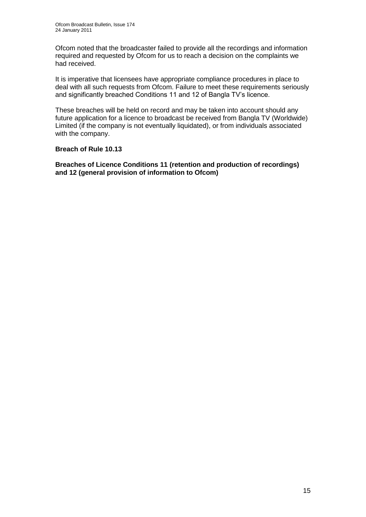Ofcom noted that the broadcaster failed to provide all the recordings and information required and requested by Ofcom for us to reach a decision on the complaints we had received.

It is imperative that licensees have appropriate compliance procedures in place to deal with all such requests from Ofcom. Failure to meet these requirements seriously and significantly breached Conditions 11 and 12 of Bangla TV"s licence.

These breaches will be held on record and may be taken into account should any future application for a licence to broadcast be received from Bangla TV (Worldwide) Limited (if the company is not eventually liquidated), or from individuals associated with the company.

#### **Breach of Rule 10.13**

**Breaches of Licence Conditions 11 (retention and production of recordings) and 12 (general provision of information to Ofcom)**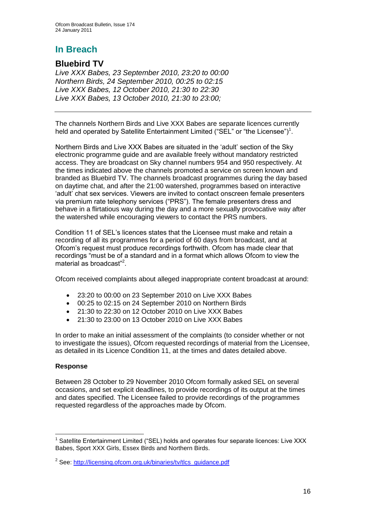## **Bluebird TV**

*Live XXX Babes, 23 September 2010, 23:20 to 00:00 Northern Birds, 24 September 2010, 00:25 to 02:15 Live XXX Babes, 12 October 2010, 21:30 to 22:30 Live XXX Babes, 13 October 2010, 21:30 to 23:00;* 

The channels Northern Birds and Live XXX Babes are separate licences currently held and operated by Satellite Entertainment Limited ("SEL" or "the Licensee")<sup>1</sup>.

Northern Birds and Live XXX Babes are situated in the "adult" section of the Sky electronic programme guide and are available freely without mandatory restricted access. They are broadcast on Sky channel numbers 954 and 950 respectively. At the times indicated above the channels promoted a service on screen known and branded as Bluebird TV. The channels broadcast programmes during the day based on daytime chat, and after the 21:00 watershed, programmes based on interactive "adult" chat sex services. Viewers are invited to contact onscreen female presenters via premium rate telephony services ("PRS"). The female presenters dress and behave in a flirtatious way during the day and a more sexually provocative way after the watershed while encouraging viewers to contact the PRS numbers.

Condition 11 of SEL"s licences states that the Licensee must make and retain a recording of all its programmes for a period of 60 days from broadcast, and at Ofcom"s request must produce recordings forthwith. Ofcom has made clear that recordings "must be of a standard and in a format which allows Ofcom to view the material as broadcast"<sup>2</sup>.

Ofcom received complaints about alleged inappropriate content broadcast at around:

- 23:20 to 00:00 on 23 September 2010 on Live XXX Babes
- 00:25 to 02:15 on 24 September 2010 on Northern Birds
- 21:30 to 22:30 on 12 October 2010 on Live XXX Babes
- 21:30 to 23:00 on 13 October 2010 on Live XXX Babes

In order to make an initial assessment of the complaints (to consider whether or not to investigate the issues), Ofcom requested recordings of material from the Licensee, as detailed in its Licence Condition 11, at the times and dates detailed above.

#### **Response**

Between 28 October to 29 November 2010 Ofcom formally asked SEL on several occasions, and set explicit deadlines, to provide recordings of its output at the times and dates specified. The Licensee failed to provide recordings of the programmes requested regardless of the approaches made by Ofcom.

<sup>1</sup> <sup>1</sup> Satellite Entertainment Limited ("SEL) holds and operates four separate licences: Live XXX Babes, Sport XXX Girls, Essex Birds and Northern Birds.

<sup>&</sup>lt;sup>2</sup> See: [http://licensing.ofcom.org.uk/binaries/tv/tlcs\\_guidance.pdf](http://licensing.ofcom.org.uk/binaries/tv/tlcs_guidance.pdf)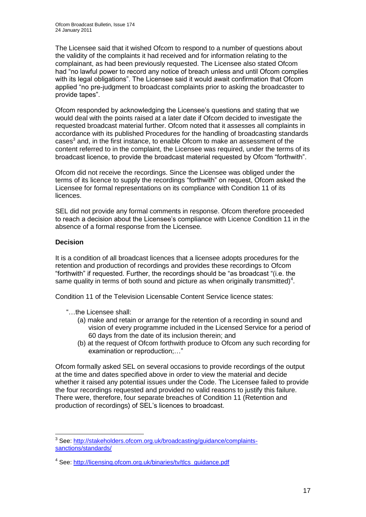The Licensee said that it wished Ofcom to respond to a number of questions about the validity of the complaints it had received and for information relating to the complainant, as had been previously requested. The Licensee also stated Ofcom had "no lawful power to record any notice of breach unless and until Ofcom complies with its legal obligations". The Licensee said it would await confirmation that Ofcom applied "no pre-judgment to broadcast complaints prior to asking the broadcaster to provide tapes".

Ofcom responded by acknowledging the Licensee"s questions and stating that we would deal with the points raised at a later date if Ofcom decided to investigate the requested broadcast material further. Ofcom noted that it assesses all complaints in accordance with its published Procedures for the handling of broadcasting standards cases<sup>3</sup> and, in the first instance, to enable Ofcom to make an assessment of the content referred to in the complaint, the Licensee was required, under the terms of its broadcast licence, to provide the broadcast material requested by Ofcom "forthwith".

Ofcom did not receive the recordings. Since the Licensee was obliged under the terms of its licence to supply the recordings "forthwith" on request, Ofcom asked the Licensee for formal representations on its compliance with Condition 11 of its licences.

SEL did not provide any formal comments in response. Ofcom therefore proceeded to reach a decision about the Licensee"s compliance with Licence Condition 11 in the absence of a formal response from the Licensee.

#### **Decision**

1

It is a condition of all broadcast licences that a licensee adopts procedures for the retention and production of recordings and provides these recordings to Ofcom "forthwith" if requested. Further, the recordings should be "as broadcast "(i.e. the same quality in terms of both sound and picture as when originally transmitted)<sup>4</sup>.

Condition 11 of the Television Licensable Content Service licence states:

- "…the Licensee shall:
	- (a) make and retain or arrange for the retention of a recording in sound and vision of every programme included in the Licensed Service for a period of 60 days from the date of its inclusion therein; and
	- (b) at the request of Ofcom forthwith produce to Ofcom any such recording for examination or reproduction;…"

Ofcom formally asked SEL on several occasions to provide recordings of the output at the time and dates specified above in order to view the material and decide whether it raised any potential issues under the Code. The Licensee failed to provide the four recordings requested and provided no valid reasons to justify this failure. There were, therefore, four separate breaches of Condition 11 (Retention and production of recordings) of SEL"s licences to broadcast.

<sup>&</sup>lt;sup>3</sup> See: [http://stakeholders.ofcom.org.uk/broadcasting/guidance/complaints](http://stakeholders.ofcom.org.uk/broadcasting/guidance/complaints-sanctions/standards/)[sanctions/standards/](http://stakeholders.ofcom.org.uk/broadcasting/guidance/complaints-sanctions/standards/)

<sup>&</sup>lt;sup>4</sup> See: [http://licensing.ofcom.org.uk/binaries/tv/tlcs\\_guidance.pdf](http://licensing.ofcom.org.uk/binaries/tv/tlcs_guidance.pdf)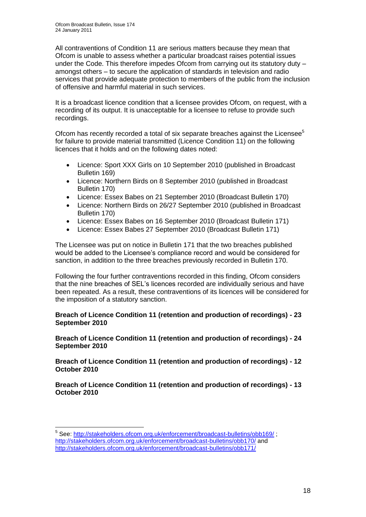All contraventions of Condition 11 are serious matters because they mean that Ofcom is unable to assess whether a particular broadcast raises potential issues under the Code. This therefore impedes Ofcom from carrying out its statutory duty – amongst others – to secure the application of standards in television and radio services that provide adequate protection to members of the public from the inclusion of offensive and harmful material in such services.

It is a broadcast licence condition that a licensee provides Ofcom, on request, with a recording of its output. It is unacceptable for a licensee to refuse to provide such recordings.

Ofcom has recently recorded a total of six separate breaches against the Licensee<sup>5</sup> for failure to provide material transmitted (Licence Condition 11) on the following licences that it holds and on the following dates noted:

- Licence: Sport XXX Girls on 10 September 2010 (published in Broadcast Bulletin 169)
- Licence: Northern Birds on 8 September 2010 (published in Broadcast Bulletin 170)
- Licence: Essex Babes on 21 September 2010 (Broadcast Bulletin 170)
- Licence: Northern Birds on 26/27 September 2010 (published in Broadcast Bulletin 170)
- Licence: Essex Babes on 16 September 2010 (Broadcast Bulletin 171)
- Licence: Essex Babes 27 September 2010 (Broadcast Bulletin 171)

The Licensee was put on notice in Bulletin 171 that the two breaches published would be added to the Licensee"s compliance record and would be considered for sanction, in addition to the three breaches previously recorded in Bulletin 170.

Following the four further contraventions recorded in this finding, Ofcom considers that the nine breaches of SEL"s licences recorded are individually serious and have been repeated. As a result, these contraventions of its licences will be considered for the imposition of a statutory sanction.

#### **Breach of Licence Condition 11 (retention and production of recordings) - 23 September 2010**

**Breach of Licence Condition 11 (retention and production of recordings) - 24 September 2010**

**Breach of Licence Condition 11 (retention and production of recordings) - 12 October 2010**

**Breach of Licence Condition 11 (retention and production of recordings) - 13 October 2010**

<sup>1</sup> <sup>5</sup> See:<http://stakeholders.ofcom.org.uk/enforcement/broadcast-bulletins/obb169/>; <http://stakeholders.ofcom.org.uk/enforcement/broadcast-bulletins/obb170/> and <http://stakeholders.ofcom.org.uk/enforcement/broadcast-bulletins/obb171/>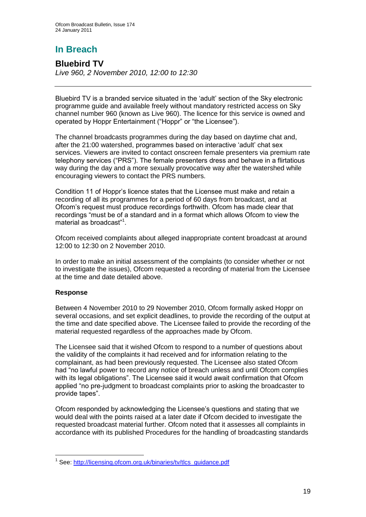**Bluebird TV** *Live 960, 2 November 2010, 12:00 to 12:30*

Bluebird TV is a branded service situated in the "adult" section of the Sky electronic programme guide and available freely without mandatory restricted access on Sky channel number 960 (known as Live 960). The licence for this service is owned and operated by Hoppr Entertainment ("Hoppr" or "the Licensee").

The channel broadcasts programmes during the day based on daytime chat and, after the 21:00 watershed, programmes based on interactive "adult" chat sex services. Viewers are invited to contact onscreen female presenters via premium rate telephony services ("PRS"). The female presenters dress and behave in a flirtatious way during the day and a more sexually provocative way after the watershed while encouraging viewers to contact the PRS numbers.

Condition 11 of Hoppr"s licence states that the Licensee must make and retain a recording of all its programmes for a period of 60 days from broadcast, and at Ofcom"s request must produce recordings forthwith. Ofcom has made clear that recordings "must be of a standard and in a format which allows Ofcom to view the material as broadcast"<sup>1</sup> .

Ofcom received complaints about alleged inappropriate content broadcast at around 12:00 to 12:30 on 2 November 2010.

In order to make an initial assessment of the complaints (to consider whether or not to investigate the issues), Ofcom requested a recording of material from the Licensee at the time and date detailed above.

#### **Response**

1

Between 4 November 2010 to 29 November 2010, Ofcom formally asked Hoppr on several occasions, and set explicit deadlines, to provide the recording of the output at the time and date specified above. The Licensee failed to provide the recording of the material requested regardless of the approaches made by Ofcom.

The Licensee said that it wished Ofcom to respond to a number of questions about the validity of the complaints it had received and for information relating to the complainant, as had been previously requested. The Licensee also stated Ofcom had "no lawful power to record any notice of breach unless and until Ofcom complies with its legal obligations". The Licensee said it would await confirmation that Ofcom applied "no pre-judgment to broadcast complaints prior to asking the broadcaster to provide tapes".

Ofcom responded by acknowledging the Licensee"s questions and stating that we would deal with the points raised at a later date if Ofcom decided to investigate the requested broadcast material further. Ofcom noted that it assesses all complaints in accordance with its published Procedures for the handling of broadcasting standards

<sup>&</sup>lt;sup>1</sup> See: [http://licensing.ofcom.org.uk/binaries/tv/tlcs\\_guidance.pdf](http://licensing.ofcom.org.uk/binaries/tv/tlcs_guidance.pdf)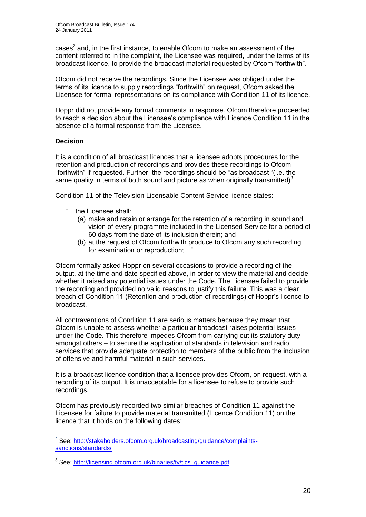$cases<sup>2</sup>$  and, in the first instance, to enable Ofcom to make an assessment of the content referred to in the complaint, the Licensee was required, under the terms of its broadcast licence, to provide the broadcast material requested by Ofcom "forthwith".

Ofcom did not receive the recordings. Since the Licensee was obliged under the terms of its licence to supply recordings "forthwith" on request, Ofcom asked the Licensee for formal representations on its compliance with Condition 11 of its licence.

Hoppr did not provide any formal comments in response. Ofcom therefore proceeded to reach a decision about the Licensee"s compliance with Licence Condition 11 in the absence of a formal response from the Licensee.

#### **Decision**

1

It is a condition of all broadcast licences that a licensee adopts procedures for the retention and production of recordings and provides these recordings to Ofcom "forthwith" if requested. Further, the recordings should be "as broadcast "(i.e. the same quality in terms of both sound and picture as when originally transmitted)<sup>3</sup>.

Condition 11 of the Television Licensable Content Service licence states:

- "…the Licensee shall:
	- (a) make and retain or arrange for the retention of a recording in sound and vision of every programme included in the Licensed Service for a period of 60 days from the date of its inclusion therein; and
	- (b) at the request of Ofcom forthwith produce to Ofcom any such recording for examination or reproduction;…"

Ofcom formally asked Hoppr on several occasions to provide a recording of the output, at the time and date specified above, in order to view the material and decide whether it raised any potential issues under the Code. The Licensee failed to provide the recording and provided no valid reasons to justify this failure. This was a clear breach of Condition 11 (Retention and production of recordings) of Hoppr"s licence to broadcast.

All contraventions of Condition 11 are serious matters because they mean that Ofcom is unable to assess whether a particular broadcast raises potential issues under the Code. This therefore impedes Ofcom from carrying out its statutory duty – amongst others – to secure the application of standards in television and radio services that provide adequate protection to members of the public from the inclusion of offensive and harmful material in such services.

It is a broadcast licence condition that a licensee provides Ofcom, on request, with a recording of its output. It is unacceptable for a licensee to refuse to provide such recordings.

Ofcom has previously recorded two similar breaches of Condition 11 against the Licensee for failure to provide material transmitted (Licence Condition 11) on the licence that it holds on the following dates:

<sup>&</sup>lt;sup>2</sup> See: [http://stakeholders.ofcom.org.uk/broadcasting/guidance/complaints](http://stakeholders.ofcom.org.uk/broadcasting/guidance/complaints-sanctions/standards/)[sanctions/standards/](http://stakeholders.ofcom.org.uk/broadcasting/guidance/complaints-sanctions/standards/)

<sup>&</sup>lt;sup>3</sup> See: [http://licensing.ofcom.org.uk/binaries/tv/tlcs\\_guidance.pdf](http://licensing.ofcom.org.uk/binaries/tv/tlcs_guidance.pdf)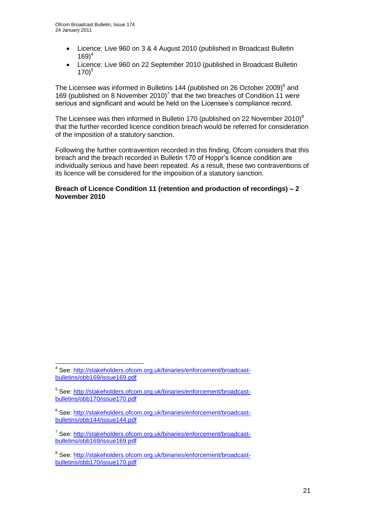- Licence: Live 960 on 3 & 4 August 2010 (published in Broadcast Bulletin  $169)^4$
- Licence: Live 960 on 22 September 2010 (published in Broadcast Bulletin  $170<sup>5</sup>$

The Licensee was informed in Bulletins 144 (published on 26 October 2009) $^6$  and 169 (published on 8 November 2010)<sup>7</sup> that the two breaches of Condition 11 were serious and significant and would be held on the Licensee"s compliance record.

The Licensee was then informed in Bulletin 170 (published on 22 November 2010)<sup>8</sup> that the further recorded licence condition breach would be referred for consideration of the imposition of a statutory sanction.

Following the further contravention recorded in this finding, Ofcom considers that this breach and the breach recorded in Bulletin 170 of Hoppr"s licence condition are individually serious and have been repeated. As a result, these two contraventions of its licence will be considered for the imposition of a statutory sanction.

#### **Breach of Licence Condition 11 (retention and production of recordings) – 2 November 2010**

1

<sup>&</sup>lt;sup>4</sup> See: [http://stakeholders.ofcom.org.uk/binaries/enforcement/broadcast](http://stakeholders.ofcom.org.uk/binaries/enforcement/broadcast-bulletins/obb169/issue169.pdf)[bulletins/obb169/issue169.pdf](http://stakeholders.ofcom.org.uk/binaries/enforcement/broadcast-bulletins/obb169/issue169.pdf)

<sup>&</sup>lt;sup>5</sup> See: [http://stakeholders.ofcom.org.uk/binaries/enforcement/broadcast](http://stakeholders.ofcom.org.uk/binaries/enforcement/broadcast-bulletins/obb170/issue170.pdf)[bulletins/obb170/issue170.pdf](http://stakeholders.ofcom.org.uk/binaries/enforcement/broadcast-bulletins/obb170/issue170.pdf)

<sup>&</sup>lt;sup>6</sup> See: [http://stakeholders.ofcom.org.uk/binaries/enforcement/broadcast](http://stakeholders.ofcom.org.uk/binaries/enforcement/broadcast-bulletins/obb144/issue144.pdf)[bulletins/obb144/issue144.pdf](http://stakeholders.ofcom.org.uk/binaries/enforcement/broadcast-bulletins/obb144/issue144.pdf)

<sup>&</sup>lt;sup>7</sup> See: [http://stakeholders.ofcom.org.uk/binaries/enforcement/broadcast](http://stakeholders.ofcom.org.uk/binaries/enforcement/broadcast-bulletins/obb169/issue169.pdf)[bulletins/obb169/issue169.pdf](http://stakeholders.ofcom.org.uk/binaries/enforcement/broadcast-bulletins/obb169/issue169.pdf)

<sup>&</sup>lt;sup>8</sup> See: [http://stakeholders.ofcom.org.uk/binaries/enforcement/broadcast](http://stakeholders.ofcom.org.uk/binaries/enforcement/broadcast-bulletins/obb170/issue170.pdf)[bulletins/obb170/issue170.pdf](http://stakeholders.ofcom.org.uk/binaries/enforcement/broadcast-bulletins/obb170/issue170.pdf)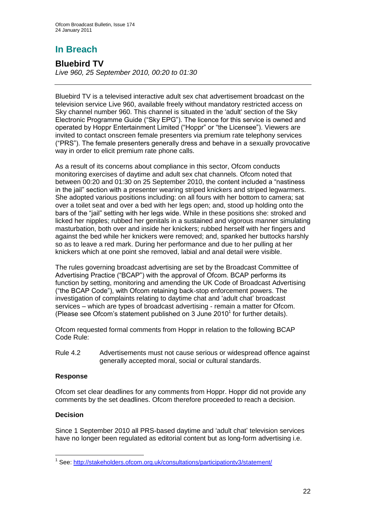# **Bluebird TV**

*Live 960, 25 September 2010, 00:20 to 01:30*

Bluebird TV is a televised interactive adult sex chat advertisement broadcast on the television service Live 960, available freely without mandatory restricted access on Sky channel number 960. This channel is situated in the 'adult' section of the Sky Electronic Programme Guide ("Sky EPG"). The licence for this service is owned and operated by Hoppr Entertainment Limited ("Hoppr" or "the Licensee"). Viewers are invited to contact onscreen female presenters via premium rate telephony services ("PRS"). The female presenters generally dress and behave in a sexually provocative way in order to elicit premium rate phone calls.

As a result of its concerns about compliance in this sector, Ofcom conducts monitoring exercises of daytime and adult sex chat channels. Ofcom noted that between 00:20 and 01:30 on 25 September 2010, the content included a "nastiness in the jail" section with a presenter wearing striped knickers and striped legwarmers. She adopted various positions including: on all fours with her bottom to camera; sat over a toilet seat and over a bed with her legs open; and, stood up holding onto the bars of the "jail" setting with her legs wide. While in these positions she: stroked and licked her nipples; rubbed her genitals in a sustained and vigorous manner simulating masturbation, both over and inside her knickers; rubbed herself with her fingers and against the bed while her knickers were removed; and, spanked her buttocks harshly so as to leave a red mark. During her performance and due to her pulling at her knickers which at one point she removed, labial and anal detail were visible.

The rules governing broadcast advertising are set by the Broadcast Committee of Advertising Practice ("BCAP") with the approval of Ofcom. BCAP performs its function by setting, monitoring and amending the UK Code of Broadcast Advertising ("the BCAP Code"), with Ofcom retaining back-stop enforcement powers. The investigation of complaints relating to daytime chat and "adult chat" broadcast services – which are types of broadcast advertising - remain a matter for Ofcom. (Please see Ofcom's statement published on 3 June 2010<sup>1</sup> for further details).

Ofcom requested formal comments from Hoppr in relation to the following BCAP Code Rule:

Rule 4.2 Advertisements must not cause serious or widespread offence against generally accepted moral, social or cultural standards.

#### **Response**

Ofcom set clear deadlines for any comments from Hoppr. Hoppr did not provide any comments by the set deadlines. Ofcom therefore proceeded to reach a decision.

#### **Decision**

Since 1 September 2010 all PRS-based daytime and "adult chat" television services have no longer been regulated as editorial content but as long-form advertising i.e.

 1 See:<http://stakeholders.ofcom.org.uk/consultations/participationtv3/statement/>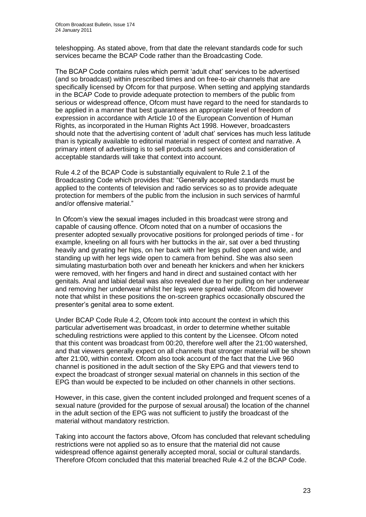teleshopping. As stated above, from that date the relevant standards code for such services became the BCAP Code rather than the Broadcasting Code.

The BCAP Code contains rules which permit "adult chat" services to be advertised (and so broadcast) within prescribed times and on free-to-air channels that are specifically licensed by Ofcom for that purpose. When setting and applying standards in the BCAP Code to provide adequate protection to members of the public from serious or widespread offence, Ofcom must have regard to the need for standards to be applied in a manner that best guarantees an appropriate level of freedom of expression in accordance with Article 10 of the European Convention of Human Rights, as incorporated in the Human Rights Act 1998. However, broadcasters should note that the advertising content of "adult chat" services has much less latitude than is typically available to editorial material in respect of context and narrative. A primary intent of advertising is to sell products and services and consideration of acceptable standards will take that context into account.

Rule 4.2 of the BCAP Code is substantially equivalent to Rule 2.1 of the Broadcasting Code which provides that: "Generally accepted standards must be applied to the contents of television and radio services so as to provide adequate protection for members of the public from the inclusion in such services of harmful and/or offensive material."

In Ofcom"s view the sexual images included in this broadcast were strong and capable of causing offence. Ofcom noted that on a number of occasions the presenter adopted sexually provocative positions for prolonged periods of time - for example, kneeling on all fours with her buttocks in the air, sat over a bed thrusting heavily and gyrating her hips, on her back with her legs pulled open and wide, and standing up with her legs wide open to camera from behind. She was also seen simulating masturbation both over and beneath her knickers and when her knickers were removed, with her fingers and hand in direct and sustained contact with her genitals. Anal and labial detail was also revealed due to her pulling on her underwear and removing her underwear whilst her legs were spread wide. Ofcom did however note that whilst in these positions the on-screen graphics occasionally obscured the presenter"s genital area to some extent.

Under BCAP Code Rule 4.2, Ofcom took into account the context in which this particular advertisement was broadcast, in order to determine whether suitable scheduling restrictions were applied to this content by the Licensee. Ofcom noted that this content was broadcast from 00:20, therefore well after the 21:00 watershed, and that viewers generally expect on all channels that stronger material will be shown after 21:00, within context. Ofcom also took account of the fact that the Live 960 channel is positioned in the adult section of the Sky EPG and that viewers tend to expect the broadcast of stronger sexual material on channels in this section of the EPG than would be expected to be included on other channels in other sections.

However, in this case, given the content included prolonged and frequent scenes of a sexual nature (provided for the purpose of sexual arousal) the location of the channel in the adult section of the EPG was not sufficient to justify the broadcast of the material without mandatory restriction.

Taking into account the factors above, Ofcom has concluded that relevant scheduling restrictions were not applied so as to ensure that the material did not cause widespread offence against generally accepted moral, social or cultural standards. Therefore Ofcom concluded that this material breached Rule 4.2 of the BCAP Code.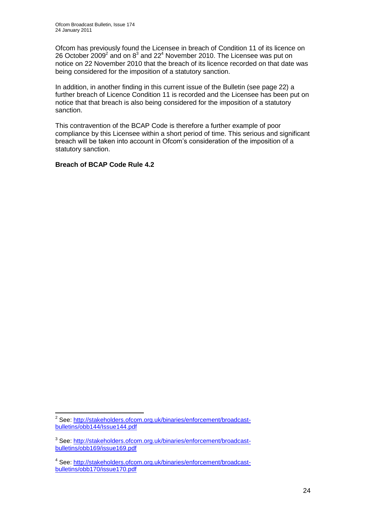Ofcom has previously found the Licensee in breach of Condition 11 of its licence on 26 October 2009<sup>2</sup> and on  $8^3$  and 22<sup>4</sup> November 2010. The Licensee was put on notice on 22 November 2010 that the breach of its licence recorded on that date was being considered for the imposition of a statutory sanction.

In addition, in another finding in this current issue of the Bulletin (see page 22) a further breach of Licence Condition 11 is recorded and the Licensee has been put on notice that that breach is also being considered for the imposition of a statutory sanction.

This contravention of the BCAP Code is therefore a further example of poor compliance by this Licensee within a short period of time. This serious and significant breach will be taken into account in Ofcom"s consideration of the imposition of a statutory sanction.

#### **Breach of BCAP Code Rule 4.2**

<sup>1</sup> <sup>2</sup> See: [http://stakeholders.ofcom.org.uk/binaries/enforcement/broadcast](http://stakeholders.ofcom.org.uk/binaries/enforcement/broadcast-bulletins/obb144/Issue144.pdf)[bulletins/obb144/Issue144.pdf](http://stakeholders.ofcom.org.uk/binaries/enforcement/broadcast-bulletins/obb144/Issue144.pdf)

<sup>&</sup>lt;sup>3</sup> See: [http://stakeholders.ofcom.org.uk/binaries/enforcement/broadcast](http://stakeholders.ofcom.org.uk/binaries/enforcement/broadcast-bulletins/obb169/issue169.pdf)[bulletins/obb169/issue169.pdf](http://stakeholders.ofcom.org.uk/binaries/enforcement/broadcast-bulletins/obb169/issue169.pdf)

<sup>&</sup>lt;sup>4</sup> See: [http://stakeholders.ofcom.org.uk/binaries/enforcement/broadcast](http://stakeholders.ofcom.org.uk/binaries/enforcement/broadcast-bulletins/obb170/issue170.pdf)[bulletins/obb170/issue170.pdf](http://stakeholders.ofcom.org.uk/binaries/enforcement/broadcast-bulletins/obb170/issue170.pdf)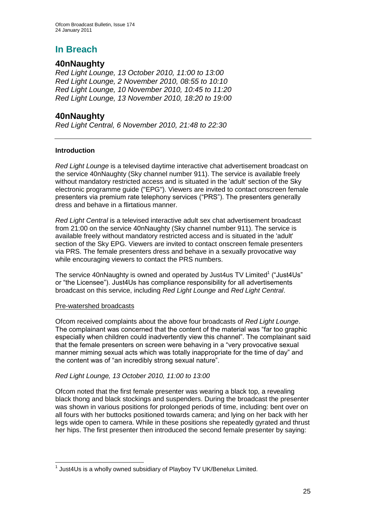## **40nNaughty**

*Red Light Lounge, 13 October 2010, 11:00 to 13:00 Red Light Lounge, 2 November 2010, 08:55 to 10:10 Red Light Lounge, 10 November 2010, 10:45 to 11:20 Red Light Lounge, 13 November 2010, 18:20 to 19:00*

## **40nNaughty**

*Red Light Central, 6 November 2010, 21:48 to 22:30*

#### **Introduction**

*Red Light Lounge* is a televised daytime interactive chat advertisement broadcast on the service 40nNaughty (Sky channel number 911). The service is available freely without mandatory restricted access and is situated in the 'adult' section of the Sky electronic programme guide ("EPG"). Viewers are invited to contact onscreen female presenters via premium rate telephony services ("PRS"). The presenters generally dress and behave in a flirtatious manner.

*Red Light Central* is a televised interactive adult sex chat advertisement broadcast from 21:00 on the service 40nNaughty (Sky channel number 911). The service is available freely without mandatory restricted access and is situated in the 'adult' section of the Sky EPG. Viewers are invited to contact onscreen female presenters via PRS. The female presenters dress and behave in a sexually provocative way while encouraging viewers to contact the PRS numbers.

The service 40nNaughty is owned and operated by Just4us TV Limited<sup>1</sup> ("Just4Us" or "the Licensee"). Just4Us has compliance responsibility for all advertisements broadcast on this service, including *Red Light Lounge* and *Red Light Central*.

#### Pre-watershed broadcasts

Ofcom received complaints about the above four broadcasts of *Red Light Lounge*. The complainant was concerned that the content of the material was "far too graphic especially when children could inadvertently view this channel". The complainant said that the female presenters on screen were behaving in a "very provocative sexual manner miming sexual acts which was totally inappropriate for the time of day" and the content was of "an incredibly strong sexual nature".

#### *Red Light Lounge, 13 October 2010, 11:00 to 13:00*

Ofcom noted that the first female presenter was wearing a black top, a revealing black thong and black stockings and suspenders. During the broadcast the presenter was shown in various positions for prolonged periods of time, including: bent over on all fours with her buttocks positioned towards camera; and lying on her back with her legs wide open to camera. While in these positions she repeatedly gyrated and thrust her hips. The first presenter then introduced the second female presenter by saying:

<sup>1</sup>  $1$  Just4Us is a wholly owned subsidiary of Playboy TV UK/Benelux Limited.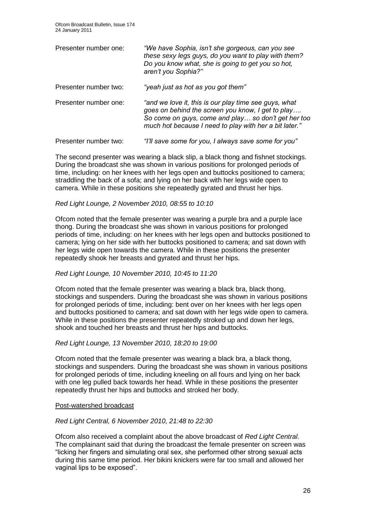| Presenter number one: | "We have Sophia, isn't she gorgeous, can you see<br>these sexy legs guys, do you want to play with them?<br>Do you know what, she is going to get you so hot,<br>aren't you Sophia?"                                        |
|-----------------------|-----------------------------------------------------------------------------------------------------------------------------------------------------------------------------------------------------------------------------|
| Presenter number two: | "yeah just as hot as you got them"                                                                                                                                                                                          |
| Presenter number one: | "and we love it, this is our play time see guys, what<br>goes on behind the screen you know, I get to play<br>So come on guys, come and play so don't get her too<br>much hot because I need to play with her a bit later." |
| Presenter number two: | "I'll save some for you, I always save some for you"                                                                                                                                                                        |

The second presenter was wearing a black slip, a black thong and fishnet stockings. During the broadcast she was shown in various positions for prolonged periods of time, including: on her knees with her legs open and buttocks positioned to camera; straddling the back of a sofa; and lying on her back with her legs wide open to camera. While in these positions she repeatedly gyrated and thrust her hips.

#### *Red Light Lounge, 2 November 2010, 08:55 to 10:10*

Ofcom noted that the female presenter was wearing a purple bra and a purple lace thong. During the broadcast she was shown in various positions for prolonged periods of time, including: on her knees with her legs open and buttocks positioned to camera; lying on her side with her buttocks positioned to camera; and sat down with her legs wide open towards the camera. While in these positions the presenter repeatedly shook her breasts and gyrated and thrust her hips.

#### *Red Light Lounge, 10 November 2010, 10:45 to 11:20*

Ofcom noted that the female presenter was wearing a black bra, black thong, stockings and suspenders. During the broadcast she was shown in various positions for prolonged periods of time, including: bent over on her knees with her legs open and buttocks positioned to camera; and sat down with her legs wide open to camera. While in these positions the presenter repeatedly stroked up and down her legs, shook and touched her breasts and thrust her hips and buttocks.

#### *Red Light Lounge, 13 November 2010, 18:20 to 19:00*

Ofcom noted that the female presenter was wearing a black bra, a black thong, stockings and suspenders. During the broadcast she was shown in various positions for prolonged periods of time, including kneeling on all fours and lying on her back with one leg pulled back towards her head. While in these positions the presenter repeatedly thrust her hips and buttocks and stroked her body.

#### Post-watershed broadcast

#### *Red Light Central, 6 November 2010, 21:48 to 22:30*

Ofcom also received a complaint about the above broadcast of *Red Light Central*. The complainant said that during the broadcast the female presenter on screen was "licking her fingers and simulating oral sex, she performed other strong sexual acts during this same time period. Her bikini knickers were far too small and allowed her vaginal lips to be exposed".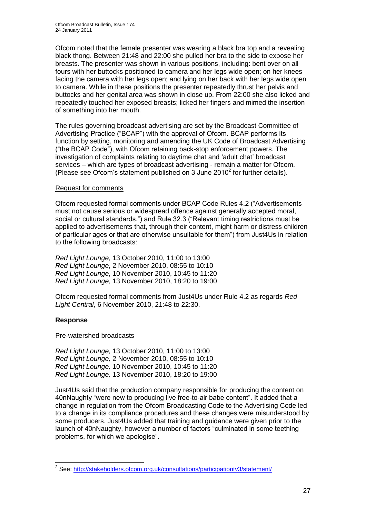Ofcom noted that the female presenter was wearing a black bra top and a revealing black thong. Between 21:48 and 22:00 she pulled her bra to the side to expose her breasts. The presenter was shown in various positions, including: bent over on all fours with her buttocks positioned to camera and her legs wide open; on her knees facing the camera with her legs open; and lying on her back with her legs wide open to camera. While in these positions the presenter repeatedly thrust her pelvis and buttocks and her genital area was shown in close up. From 22:00 she also licked and repeatedly touched her exposed breasts; licked her fingers and mimed the insertion of something into her mouth.

The rules governing broadcast advertising are set by the Broadcast Committee of Advertising Practice ("BCAP") with the approval of Ofcom. BCAP performs its function by setting, monitoring and amending the UK Code of Broadcast Advertising ("the BCAP Code"), with Ofcom retaining back-stop enforcement powers. The investigation of complaints relating to daytime chat and "adult chat" broadcast services – which are types of broadcast advertising - remain a matter for Ofcom. (Please see Ofcom's statement published on 3 June 2010 $^2$  for further details).

#### Request for comments

Ofcom requested formal comments under BCAP Code Rules 4.2 ("Advertisements must not cause serious or widespread offence against generally accepted moral, social or cultural standards.") and Rule 32.3 ("Relevant timing restrictions must be applied to advertisements that, through their content, might harm or distress children of particular ages or that are otherwise unsuitable for them") from Just4Us in relation to the following broadcasts:

*Red Light Lounge*, 13 October 2010, 11:00 to 13:00 *Red Light Lounge*, 2 November 2010, 08:55 to 10:10 *Red Light Lounge*, 10 November 2010, 10:45 to 11:20 *Red Light Lounge*, 13 November 2010, 18:20 to 19:00

Ofcom requested formal comments from Just4Us under Rule 4.2 as regards *Red Light Central*, 6 November 2010, 21:48 to 22:30.

#### **Response**

#### Pre-watershed broadcasts

*Red Light Lounge,* 13 October 2010, 11:00 to 13:00 *Red Light Lounge,* 2 November 2010, 08:55 to 10:10 *Red Light Lounge,* 10 November 2010, 10:45 to 11:20 *Red Light Lounge,* 13 November 2010, 18:20 to 19:00

Just4Us said that the production company responsible for producing the content on 40nNaughty "were new to producing live free-to-air babe content". It added that a change in regulation from the Ofcom Broadcasting Code to the Advertising Code led to a change in its compliance procedures and these changes were misunderstood by some producers. Just4Us added that training and guidance were given prior to the launch of 40nNaughty, however a number of factors "culminated in some teething problems, for which we apologise".

 2 See:<http://stakeholders.ofcom.org.uk/consultations/participationtv3/statement/>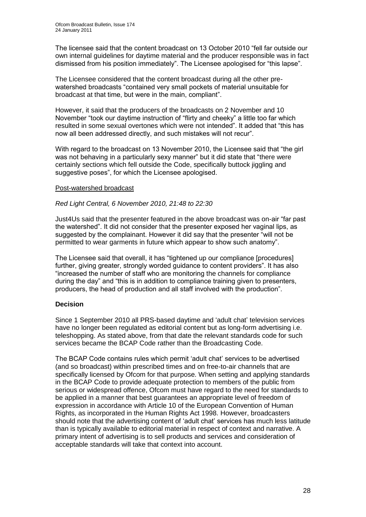The licensee said that the content broadcast on 13 October 2010 "fell far outside our own internal guidelines for daytime material and the producer responsible was in fact dismissed from his position immediately". The Licensee apologised for "this lapse".

The Licensee considered that the content broadcast during all the other prewatershed broadcasts "contained very small pockets of material unsuitable for broadcast at that time, but were in the main, compliant".

However, it said that the producers of the broadcasts on 2 November and 10 November "took our daytime instruction of "flirty and cheeky" a little too far which resulted in some sexual overtones which were not intended". It added that "this has now all been addressed directly, and such mistakes will not recur".

With regard to the broadcast on 13 November 2010, the Licensee said that "the girl was not behaving in a particularly sexy manner" but it did state that "there were certainly sections which fell outside the Code, specifically buttock jiggling and suggestive poses", for which the Licensee apologised.

#### Post-watershed broadcast

#### *Red Light Central, 6 November 2010, 21:48 to 22:30*

Just4Us said that the presenter featured in the above broadcast was on-air "far past the watershed". It did not consider that the presenter exposed her vaginal lips, as suggested by the complainant. However it did say that the presenter "will not be permitted to wear garments in future which appear to show such anatomy".

The Licensee said that overall, it has "tightened up our compliance [procedures] further, giving greater, strongly worded guidance to content providers". It has also "increased the number of staff who are monitoring the channels for compliance during the day" and "this is in addition to compliance training given to presenters, producers, the head of production and all staff involved with the production".

#### **Decision**

Since 1 September 2010 all PRS-based daytime and "adult chat" television services have no longer been regulated as editorial content but as long-form advertising i.e. teleshopping. As stated above, from that date the relevant standards code for such services became the BCAP Code rather than the Broadcasting Code.

The BCAP Code contains rules which permit "adult chat" services to be advertised (and so broadcast) within prescribed times and on free-to-air channels that are specifically licensed by Ofcom for that purpose. When setting and applying standards in the BCAP Code to provide adequate protection to members of the public from serious or widespread offence, Ofcom must have regard to the need for standards to be applied in a manner that best guarantees an appropriate level of freedom of expression in accordance with Article 10 of the European Convention of Human Rights, as incorporated in the Human Rights Act 1998. However, broadcasters should note that the advertising content of "adult chat" services has much less latitude than is typically available to editorial material in respect of context and narrative. A primary intent of advertising is to sell products and services and consideration of acceptable standards will take that context into account.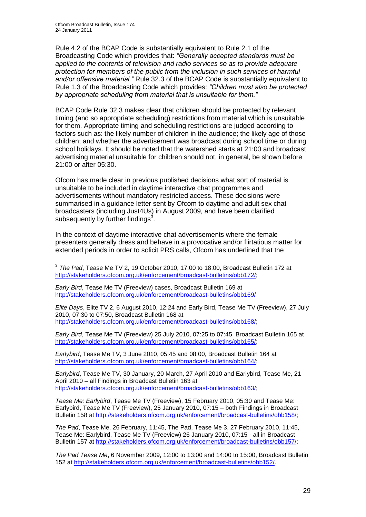Rule 4.2 of the BCAP Code is substantially equivalent to Rule 2.1 of the Broadcasting Code which provides that: *"Generally accepted standards must be applied to the contents of television and radio services so as to provide adequate protection for members of the public from the inclusion in such services of harmful and/or offensive material."* Rule 32.3 of the BCAP Code is substantially equivalent to Rule 1.3 of the Broadcasting Code which provides: *"Children must also be protected by appropriate scheduling from material that is unsuitable for them."*

BCAP Code Rule 32.3 makes clear that children should be protected by relevant timing (and so appropriate scheduling) restrictions from material which is unsuitable for them. Appropriate timing and scheduling restrictions are judged according to factors such as: the likely number of children in the audience; the likely age of those children; and whether the advertisement was broadcast during school time or during school holidays. It should be noted that the watershed starts at 21:00 and broadcast advertising material unsuitable for children should not, in general, be shown before 21:00 or after 05:30.

Ofcom has made clear in previous published decisions what sort of material is unsuitable to be included in daytime interactive chat programmes and advertisements without mandatory restricted access. These decisions were summarised in a guidance letter sent by Ofcom to daytime and adult sex chat broadcasters (including Just4Us) in August 2009, and have been clarified subsequently by further findings $3$ .

In the context of daytime interactive chat advertisements where the female presenters generally dress and behave in a provocative and/or flirtatious matter for extended periods in order to solicit PRS calls, Ofcom has underlined that the

1 3 *The Pad*, Tease Me TV 2, 19 October 2010, 17:00 to 18:00, Broadcast Bulletin 172 at [http://stakeholders.ofcom.org.uk/enforcement/broadcast-bulletins/obb172/;](http://stakeholders.ofcom.org.uk/enforcement/broadcast-bulletins/obb172/)

*Early Bird*, Tease Me TV (Freeview) cases, Broadcast Bulletin 169 at <http://stakeholders.ofcom.org.uk/enforcement/broadcast-bulletins/obb169/>

*Elite Days*, Elite TV 2, 6 August 2010, 12:24 and Early Bird, Tease Me TV (Freeview), 27 July 2010, 07:30 to 07:50, Broadcast Bulletin 168 at [http://stakeholders.ofcom.org.uk/enforcement/broadcast-bulletins/obb168/;](http://stakeholders.ofcom.org.uk/enforcement/broadcast-bulletins/obb168/)

*Early Bird*, Tease Me TV (Freeview) 25 July 2010, 07:25 to 07:45, Broadcast Bulletin 165 at [http://stakeholders.ofcom.org.uk/enforcement/broadcast-bulletins/obb165/;](http://stakeholders.ofcom.org.uk/enforcement/broadcast-bulletins/obb165/)

*Earlybird*, Tease Me TV, 3 June 2010, 05:45 and 08:00, Broadcast Bulletin 164 at [http://stakeholders.ofcom.org.uk/enforcement/broadcast-bulletins/obb164/;](http://stakeholders.ofcom.org.uk/enforcement/broadcast-bulletins/obb164/)

*Earlybird*, Tease Me TV, 30 January, 20 March, 27 April 2010 and Earlybird, Tease Me, 21 April 2010 – all Findings in Broadcast Bulletin 163 at [http://stakeholders.ofcom.org.uk/enforcement/broadcast-bulletins/obb163/;](http://stakeholders.ofcom.org.uk/enforcement/broadcast-bulletins/obb163/)

*Tease Me: Earlybird*, Tease Me TV (Freeview), 15 February 2010, 05:30 and Tease Me: Earlybird, Tease Me TV (Freeview), 25 January 2010, 07:15 – both Findings in Broadcast Bulletin 158 at [http://stakeholders.ofcom.org.uk/enforcement/broadcast-bulletins/obb158/;](http://stakeholders.ofcom.org.uk/enforcement/broadcast-bulletins/obb158/)

*The Pad*, Tease Me, 26 February, 11:45, The Pad, Tease Me 3, 27 February 2010, 11:45, Tease Me: Earlybird, Tease Me TV (Freeview) 26 January 2010, 07:15 - all in Broadcast Bulletin 157 at [http://stakeholders.ofcom.org.uk/enforcement/broadcast-bulletins/obb157/;](http://stakeholders.ofcom.org.uk/enforcement/broadcast-bulletins/obb157/)

*The Pad Tease Me*, 6 November 2009, 12:00 to 13:00 and 14:00 to 15:00, Broadcast Bulletin 152 at [http://stakeholders.ofcom.org.uk/enforcement/broadcast-bulletins/obb152/.](http://stakeholders.ofcom.org.uk/enforcement/broadcast-bulletins/obb152/)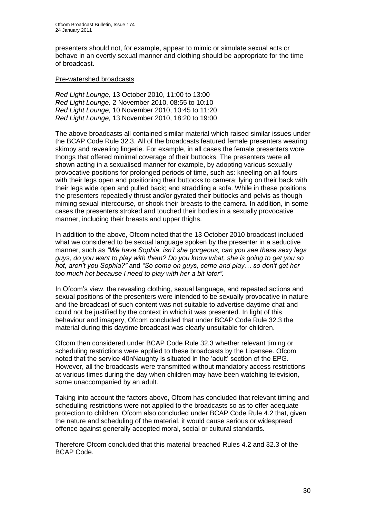presenters should not, for example, appear to mimic or simulate sexual acts or behave in an overtly sexual manner and clothing should be appropriate for the time of broadcast.

#### Pre-watershed broadcasts

*Red Light Lounge,* 13 October 2010, 11:00 to 13:00 *Red Light Lounge,* 2 November 2010, 08:55 to 10:10 *Red Light Lounge,* 10 November 2010, 10:45 to 11:20 *Red Light Lounge,* 13 November 2010, 18:20 to 19:00

The above broadcasts all contained similar material which raised similar issues under the BCAP Code Rule 32.3. All of the broadcasts featured female presenters wearing skimpy and revealing lingerie. For example, in all cases the female presenters wore thongs that offered minimal coverage of their buttocks. The presenters were all shown acting in a sexualised manner for example, by adopting various sexually provocative positions for prolonged periods of time, such as: kneeling on all fours with their legs open and positioning their buttocks to camera; lying on their back with their legs wide open and pulled back; and straddling a sofa. While in these positions the presenters repeatedly thrust and/or gyrated their buttocks and pelvis as though miming sexual intercourse, or shook their breasts to the camera. In addition, in some cases the presenters stroked and touched their bodies in a sexually provocative manner, including their breasts and upper thighs.

In addition to the above, Ofcom noted that the 13 October 2010 broadcast included what we considered to be sexual language spoken by the presenter in a seductive manner, such as *"We have Sophia, isn"t she gorgeous, can you see these sexy legs guys, do you want to play with them? Do you know what, she is going to get you so hot, aren"t you Sophia?"* and *"So come on guys, come and play… so don"t get her too much hot because I need to play with her a bit later".*

In Ofcom"s view, the revealing clothing, sexual language, and repeated actions and sexual positions of the presenters were intended to be sexually provocative in nature and the broadcast of such content was not suitable to advertise daytime chat and could not be justified by the context in which it was presented. In light of this behaviour and imagery, Ofcom concluded that under BCAP Code Rule 32.3 the material during this daytime broadcast was clearly unsuitable for children.

Ofcom then considered under BCAP Code Rule 32.3 whether relevant timing or scheduling restrictions were applied to these broadcasts by the Licensee. Ofcom noted that the service 40nNaughty is situated in the "adult" section of the EPG. However, all the broadcasts were transmitted without mandatory access restrictions at various times during the day when children may have been watching television, some unaccompanied by an adult.

Taking into account the factors above, Ofcom has concluded that relevant timing and scheduling restrictions were not applied to the broadcasts so as to offer adequate protection to children. Ofcom also concluded under BCAP Code Rule 4.2 that, given the nature and scheduling of the material, it would cause serious or widespread offence against generally accepted moral, social or cultural standards.

Therefore Ofcom concluded that this material breached Rules 4.2 and 32.3 of the BCAP Code.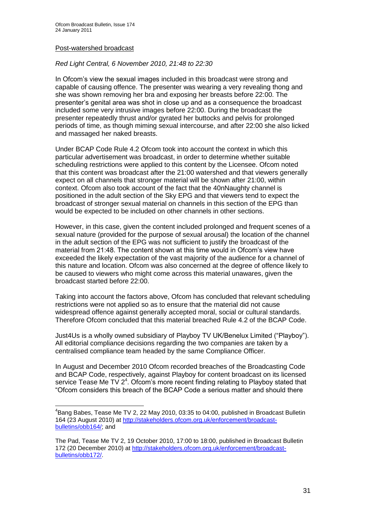#### Post-watershed broadcast

1

#### *Red Light Central, 6 November 2010, 21:48 to 22:30*

In Ofcom"s view the sexual images included in this broadcast were strong and capable of causing offence. The presenter was wearing a very revealing thong and she was shown removing her bra and exposing her breasts before 22:00. The presenter"s genital area was shot in close up and as a consequence the broadcast included some very intrusive images before 22:00. During the broadcast the presenter repeatedly thrust and/or gyrated her buttocks and pelvis for prolonged periods of time, as though miming sexual intercourse, and after 22:00 she also licked and massaged her naked breasts.

Under BCAP Code Rule 4.2 Ofcom took into account the context in which this particular advertisement was broadcast, in order to determine whether suitable scheduling restrictions were applied to this content by the Licensee. Ofcom noted that this content was broadcast after the 21:00 watershed and that viewers generally expect on all channels that stronger material will be shown after 21:00, within context. Ofcom also took account of the fact that the 40nNaughty channel is positioned in the adult section of the Sky EPG and that viewers tend to expect the broadcast of stronger sexual material on channels in this section of the EPG than would be expected to be included on other channels in other sections.

However, in this case, given the content included prolonged and frequent scenes of a sexual nature (provided for the purpose of sexual arousal) the location of the channel in the adult section of the EPG was not sufficient to justify the broadcast of the material from 21:48. The content shown at this time would in Ofcom"s view have exceeded the likely expectation of the vast majority of the audience for a channel of this nature and location. Ofcom was also concerned at the degree of offence likely to be caused to viewers who might come across this material unawares, given the broadcast started before 22:00.

Taking into account the factors above, Ofcom has concluded that relevant scheduling restrictions were not applied so as to ensure that the material did not cause widespread offence against generally accepted moral, social or cultural standards. Therefore Ofcom concluded that this material breached Rule 4.2 of the BCAP Code.

Just4Us is a wholly owned subsidiary of Playboy TV UK/Benelux Limited ("Playboy"). All editorial compliance decisions regarding the two companies are taken by a centralised compliance team headed by the same Compliance Officer.

In August and December 2010 Ofcom recorded breaches of the Broadcasting Code and BCAP Code, respectively, against Playboy for content broadcast on its licensed service Tease Me TV  $2<sup>4</sup>$ . Ofcom's more recent finding relating to Playboy stated that "Ofcom considers this breach of the BCAP Code a serious matter and should there

 ${}^{4}$ Bang Babes, Tease Me TV 2, 22 May 2010, 03:35 to 04:00, published in Broadcast Bulletin 164 (23 August 2010) at [http://stakeholders.ofcom.org.uk/enforcement/broadcast](http://stakeholders.ofcom.org.uk/enforcement/broadcast-bulletins/obb164/)[bulletins/obb164/;](http://stakeholders.ofcom.org.uk/enforcement/broadcast-bulletins/obb164/) and

The Pad, Tease Me TV 2, 19 October 2010, 17:00 to 18:00, published in Broadcast Bulletin 172 (20 December 2010) at [http://stakeholders.ofcom.org.uk/enforcement/broadcast](http://stakeholders.ofcom.org.uk/enforcement/broadcast-bulletins/obb172/)[bulletins/obb172/.](http://stakeholders.ofcom.org.uk/enforcement/broadcast-bulletins/obb172/)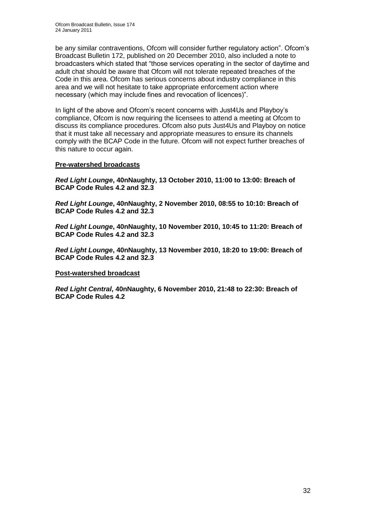be any similar contraventions, Ofcom will consider further regulatory action". Ofcom"s Broadcast Bulletin 172, published on 20 December 2010, also included a note to broadcasters which stated that "those services operating in the sector of daytime and adult chat should be aware that Ofcom will not tolerate repeated breaches of the Code in this area. Ofcom has serious concerns about industry compliance in this area and we will not hesitate to take appropriate enforcement action where necessary (which may include fines and revocation of licences)".

In light of the above and Ofcom"s recent concerns with Just4Us and Playboy"s compliance, Ofcom is now requiring the licensees to attend a meeting at Ofcom to discuss its compliance procedures. Ofcom also puts Just4Us and Playboy on notice that it must take all necessary and appropriate measures to ensure its channels comply with the BCAP Code in the future. Ofcom will not expect further breaches of this nature to occur again.

#### **Pre-watershed broadcasts**

*Red Light Lounge***, 40nNaughty, 13 October 2010, 11:00 to 13:00: Breach of BCAP Code Rules 4.2 and 32.3**

*Red Light Lounge***, 40nNaughty, 2 November 2010, 08:55 to 10:10: Breach of BCAP Code Rules 4.2 and 32.3**

*Red Light Lounge***, 40nNaughty, 10 November 2010, 10:45 to 11:20: Breach of BCAP Code Rules 4.2 and 32.3**

*Red Light Lounge***, 40nNaughty, 13 November 2010, 18:20 to 19:00: Breach of BCAP Code Rules 4.2 and 32.3**

#### **Post-watershed broadcast**

*Red Light Central***, 40nNaughty, 6 November 2010, 21:48 to 22:30: Breach of BCAP Code Rules 4.2**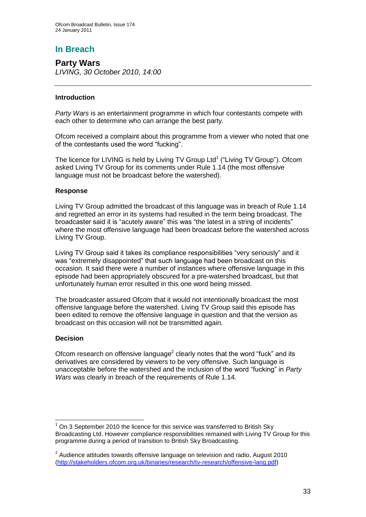**Party Wars** *LIVING, 30 October 2010, 14:00*

#### **Introduction**

*Party Wars* is an entertainment programme in which four contestants compete with each other to determine who can arrange the best party.

Ofcom received a complaint about this programme from a viewer who noted that one of the contestants used the word "fucking".

The licence for LIVING is held by Living TV Group Ltd<sup>1</sup> ("Living TV Group"). Ofcom asked Living TV Group for its comments under Rule 1.14 (the most offensive language must not be broadcast before the watershed).

#### **Response**

Living TV Group admitted the broadcast of this language was in breach of Rule 1.14 and regretted an error in its systems had resulted in the term being broadcast. The broadcaster said it is "acutely aware" this was "the latest in a string of incidents" where the most offensive language had been broadcast before the watershed across Living TV Group.

Living TV Group said it takes its compliance responsibilities "very seriously" and it was "extremely disappointed" that such language had been broadcast on this occasion. It said there were a number of instances where offensive language in this episode had been appropriately obscured for a pre-watershed broadcast, but that unfortunately human error resulted in this one word being missed.

The broadcaster assured Ofcom that it would not intentionally broadcast the most offensive language before the watershed. Living TV Group said this episode has been edited to remove the offensive language in question and that the version as broadcast on this occasion will not be transmitted again.

#### **Decision**

Ofcom research on offensive language<sup>2</sup> clearly notes that the word "fuck" and its derivatives are considered by viewers to be very offensive. Such language is unacceptable before the watershed and the inclusion of the word "fucking" in *Party Wars* was clearly in breach of the requirements of Rule 1.14.

<sup>1</sup> <sup>1</sup> On 3 September 2010 the licence for this service was transferred to British Sky Broadcasting Ltd. However compliance responsibilities remained with Living TV Group for this programme during a period of transition to British Sky Broadcasting.

 $2$  Audience attitudes towards offensive language on television and radio, August 2010 [\(http://stakeholders.ofcom.org.uk/binaries/research/tv-research/offensive-lang.pdf\)](http://stakeholders.ofcom.org.uk/binaries/research/tv-research/offensive-lang.pdf)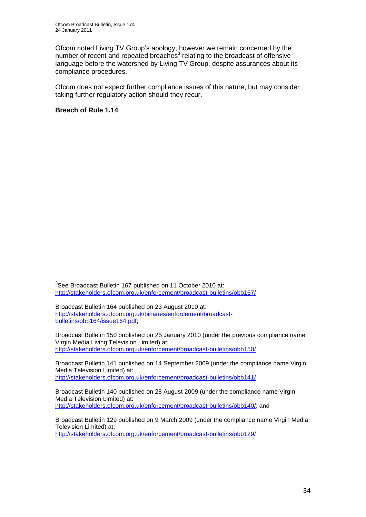Ofcom noted Living TV Group"s apology, however we remain concerned by the number of recent and repeated breaches<sup>3</sup> relating to the broadcast of offensive language before the watershed by Living TV Group, despite assurances about its compliance procedures.

Ofcom does not expect further compliance issues of this nature, but may consider taking further regulatory action should they recur.

#### **Breach of Rule 1.14**

1

Broadcast Bulletin 141 published on 14 September 2009 (under the compliance name Virgin Media Television Limited) at: <http://stakeholders.ofcom.org.uk/enforcement/broadcast-bulletins/obb141/>

Broadcast Bulletin 140 published on 28 August 2009 (under the compliance name Virgin Media Television Limited) at: [http://stakeholders.ofcom.org.uk/enforcement/broadcast-bulletins/obb140/;](http://stakeholders.ofcom.org.uk/enforcement/broadcast-bulletins/obb140/) and

 $3$ See Broadcast Bulletin 167 published on 11 October 2010 at: <http://stakeholders.ofcom.org.uk/enforcement/broadcast-bulletins/obb167/>

Broadcast Bulletin 164 published on 23 August 2010 at: [http://stakeholders.ofcom.org.uk/binaries/enforcement/broadcast](http://stakeholders.ofcom.org.uk/binaries/enforcement/broadcast-bulletins/obb164/issue164.pdf)[bulletins/obb164/issue164.pdf;](http://stakeholders.ofcom.org.uk/binaries/enforcement/broadcast-bulletins/obb164/issue164.pdf)

Broadcast Bulletin 150 published on 25 January 2010 (under the previous compliance name Virgin Media Living Television Limited) at: <http://stakeholders.ofcom.org.uk/enforcement/broadcast-bulletins/obb150/>

Broadcast Bulletin 129 published on 9 March 2009 (under the compliance name Virgin Media Television Limited) at: <http://stakeholders.ofcom.org.uk/enforcement/broadcast-bulletins/obb129/>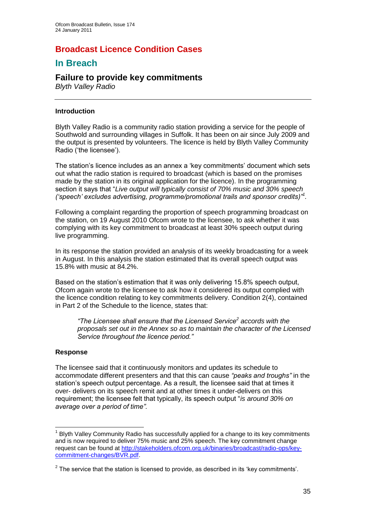## **Broadcast Licence Condition Cases**

## **In Breach**

# **Failure to provide key commitments**

*Blyth Valley Radio*

#### **Introduction**

Blyth Valley Radio is a community radio station providing a service for the people of Southwold and surrounding villages in Suffolk. It has been on air since July 2009 and the output is presented by volunteers. The licence is held by Blyth Valley Community Radio ('the licensee').

The station"s licence includes as an annex a "key commitments" document which sets out what the radio station is required to broadcast (which is based on the promises made by the station in its original application for the licence). In the programming section it says that "*Live output will typically consist of 70% music and 30% speech ("speech" excludes advertising, programme/promotional trails and sponsor credits)"<sup>1</sup> .* 

Following a complaint regarding the proportion of speech programming broadcast on the station, on 19 August 2010 Ofcom wrote to the licensee, to ask whether it was complying with its key commitment to broadcast at least 30% speech output during live programming.

In its response the station provided an analysis of its weekly broadcasting for a week in August. In this analysis the station estimated that its overall speech output was 15.8% with music at 84.2%.

Based on the station"s estimation that it was only delivering 15.8% speech output, Ofcom again wrote to the licensee to ask how it considered its output complied with the licence condition relating to key commitments delivery. Condition 2(4), contained in Part 2 of the Schedule to the licence, states that:

*"The Licensee shall ensure that the Licensed Service<sup>2</sup> accords with the proposals set out in the Annex so as to maintain the character of the Licensed Service throughout the licence period."*

#### **Response**

The licensee said that it continuously monitors and updates its schedule to accommodate different presenters and that this can cause *"peaks and troughs"* in the station"s speech output percentage. As a result, the licensee said that at times it over- delivers on its speech remit and at other times it under-delivers on this requirement; the licensee felt that typically, its speech output "*is around 30% on average over a period of time".*

<sup>1</sup> <sup>1</sup> Blyth Valley Community Radio has successfully applied for a change to its key commitments and is now required to deliver 75% music and 25% speech. The key commitment change request can be found at [http://stakeholders.ofcom.org.uk/binaries/broadcast/radio-ops/key](http://stakeholders.ofcom.org.uk/binaries/broadcast/radio-ops/key-commitment-changes/BVR.pdf)[commitment-changes/BVR.pdf.](http://stakeholders.ofcom.org.uk/binaries/broadcast/radio-ops/key-commitment-changes/BVR.pdf)

 $2$  The service that the station is licensed to provide, as described in its 'key commitments'.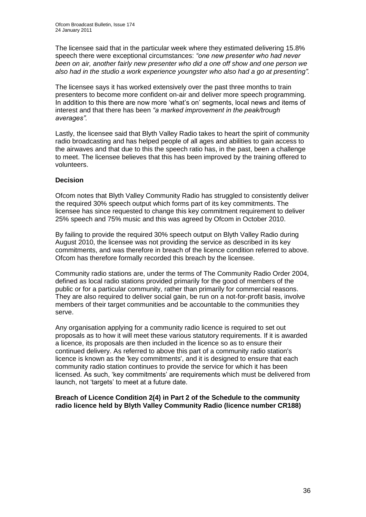The licensee said that in the particular week where they estimated delivering 15.8% speech there were exceptional circumstances: *"one new presenter who had never been on air, another fairly new presenter who did a one off show and one person we also had in the studio a work experience youngster who also had a go at presenting".*

The licensee says it has worked extensively over the past three months to train presenters to become more confident on-air and deliver more speech programming. In addition to this there are now more "what"s on" segments, local news and items of interest and that there has been *"a marked improvement in the peak/trough averages".*

Lastly, the licensee said that Blyth Valley Radio takes to heart the spirit of community radio broadcasting and has helped people of all ages and abilities to gain access to the airwaves and that due to this the speech ratio has, in the past, been a challenge to meet. The licensee believes that this has been improved by the training offered to volunteers.

#### **Decision**

Ofcom notes that Blyth Valley Community Radio has struggled to consistently deliver the required 30% speech output which forms part of its key commitments. The licensee has since requested to change this key commitment requirement to deliver 25% speech and 75% music and this was agreed by Ofcom in October 2010.

By failing to provide the required 30% speech output on Blyth Valley Radio during August 2010, the licensee was not providing the service as described in its key commitments, and was therefore in breach of the licence condition referred to above. Ofcom has therefore formally recorded this breach by the licensee.

Community radio stations are, under the terms of The Community Radio Order 2004, defined as local radio stations provided primarily for the good of members of the public or for a particular community, rather than primarily for commercial reasons. They are also required to deliver social gain, be run on a not-for-profit basis, involve members of their target communities and be accountable to the communities they serve.

Any organisation applying for a community radio licence is required to set out proposals as to how it will meet these various statutory requirements. If it is awarded a licence, its proposals are then included in the licence so as to ensure their continued delivery. As referred to above this part of a community radio station's licence is known as the 'key commitments', and it is designed to ensure that each community radio station continues to provide the service for which it has been licensed. As such, "key commitments" are requirements which must be delivered from launch, not "targets" to meet at a future date.

#### **Breach of Licence Condition 2(4) in Part 2 of the Schedule to the community radio licence held by Blyth Valley Community Radio (licence number CR188)**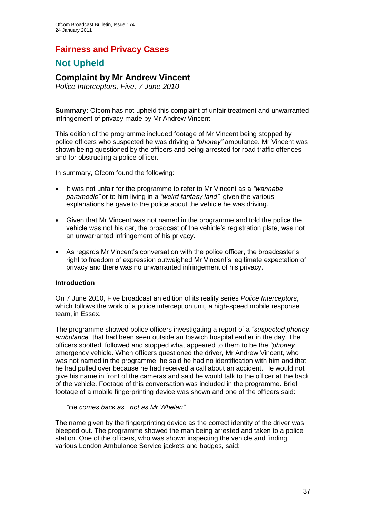## **Fairness and Privacy Cases**

## **Not Upheld**

### **Complaint by Mr Andrew Vincent**

*Police Interceptors, Five, 7 June 2010*

**Summary:** Ofcom has not upheld this complaint of unfair treatment and unwarranted infringement of privacy made by Mr Andrew Vincent.

This edition of the programme included footage of Mr Vincent being stopped by police officers who suspected he was driving a *"phoney"* ambulance. Mr Vincent was shown being questioned by the officers and being arrested for road traffic offences and for obstructing a police officer.

In summary, Ofcom found the following:

- It was not unfair for the programme to refer to Mr Vincent as a *"wannabe paramedic"* or to him living in a *"weird fantasy land"*, given the various explanations he gave to the police about the vehicle he was driving.
- Given that Mr Vincent was not named in the programme and told the police the vehicle was not his car, the broadcast of the vehicle"s registration plate, was not an unwarranted infringement of his privacy.
- As regards Mr Vincent"s conversation with the police officer, the broadcaster"s right to freedom of expression outweighed Mr Vincent"s legitimate expectation of privacy and there was no unwarranted infringement of his privacy.

#### **Introduction**

On 7 June 2010, Five broadcast an edition of its reality series *Police Interceptors*, which follows the work of a police interception unit, a high-speed mobile response team, in Essex.

The programme showed police officers investigating a report of a *"suspected phoney ambulance"* that had been seen outside an Ipswich hospital earlier in the day. The officers spotted, followed and stopped what appeared to them to be the *"phoney"*  emergency vehicle. When officers questioned the driver, Mr Andrew Vincent, who was not named in the programme, he said he had no identification with him and that he had pulled over because he had received a call about an accident. He would not give his name in front of the cameras and said he would talk to the officer at the back of the vehicle. Footage of this conversation was included in the programme. Brief footage of a mobile fingerprinting device was shown and one of the officers said:

*"He comes back as...not as Mr Whelan".*

The name given by the fingerprinting device as the correct identity of the driver was bleeped out. The programme showed the man being arrested and taken to a police station. One of the officers, who was shown inspecting the vehicle and finding various London Ambulance Service jackets and badges, said: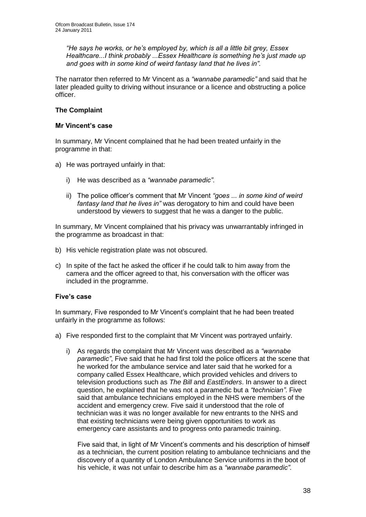*"He says he works, or he"s employed by, which is all a little bit grey, Essex Healthcare...I think probably ...Essex Healthcare is something he"s just made up and goes with in some kind of weird fantasy land that he lives in".*

The narrator then referred to Mr Vincent as a *"wannabe paramedic"* and said that he later pleaded guilty to driving without insurance or a licence and obstructing a police officer.

#### **The Complaint**

#### **Mr Vincent's case**

In summary, Mr Vincent complained that he had been treated unfairly in the programme in that:

- a) He was portrayed unfairly in that:
	- i) He was described as a *"wannabe paramedic"*.
	- ii) The police officer"s comment that Mr Vincent *"goes ... in some kind of weird fantasy land that he lives in"* was derogatory to him and could have been understood by viewers to suggest that he was a danger to the public.

In summary, Mr Vincent complained that his privacy was unwarrantably infringed in the programme as broadcast in that:

- b) His vehicle registration plate was not obscured.
- c) In spite of the fact he asked the officer if he could talk to him away from the camera and the officer agreed to that, his conversation with the officer was included in the programme.

#### **Five's case**

In summary, Five responded to Mr Vincent's complaint that he had been treated unfairly in the programme as follows:

- a) Five responded first to the complaint that Mr Vincent was portrayed unfairly.
	- i) As regards the complaint that Mr Vincent was described as a *"wannabe paramedic"*, Five said that he had first told the police officers at the scene that he worked for the ambulance service and later said that he worked for a company called Essex Healthcare, which provided vehicles and drivers to television productions such as *The Bill* and *EastEnders*. In answer to a direct question, he explained that he was not a paramedic but a *"technician"*. Five said that ambulance technicians employed in the NHS were members of the accident and emergency crew. Five said it understood that the role of technician was it was no longer available for new entrants to the NHS and that existing technicians were being given opportunities to work as emergency care assistants and to progress onto paramedic training.

Five said that, in light of Mr Vincent"s comments and his description of himself as a technician, the current position relating to ambulance technicians and the discovery of a quantity of London Ambulance Service uniforms in the boot of his vehicle, it was not unfair to describe him as a *"wannabe paramedic"*.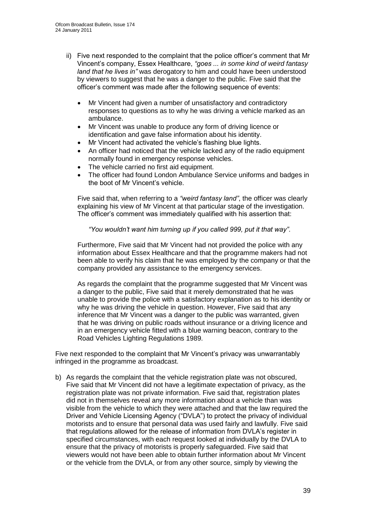- ii) Five next responded to the complaint that the police officer"s comment that Mr Vincent"s company, Essex Healthcare, *"goes ... in some kind of weird fantasy land that he lives in"* was derogatory to him and could have been understood by viewers to suggest that he was a danger to the public. Five said that the officer"s comment was made after the following sequence of events:
	- Mr Vincent had given a number of unsatisfactory and contradictory responses to questions as to why he was driving a vehicle marked as an ambulance.
	- Mr Vincent was unable to produce any form of driving licence or identification and gave false information about his identity.
	- Mr Vincent had activated the vehicle"s flashing blue lights.
	- An officer had noticed that the vehicle lacked any of the radio equipment normally found in emergency response vehicles.
	- The vehicle carried no first aid equipment.
	- The officer had found London Ambulance Service uniforms and badges in the boot of Mr Vincent"s vehicle.

Five said that, when referring to a *"weird fantasy land"*, the officer was clearly explaining his view of Mr Vincent at that particular stage of the investigation. The officer"s comment was immediately qualified with his assertion that:

*"You wouldn"t want him turning up if you called 999, put it that way"*.

Furthermore, Five said that Mr Vincent had not provided the police with any information about Essex Healthcare and that the programme makers had not been able to verify his claim that he was employed by the company or that the company provided any assistance to the emergency services.

As regards the complaint that the programme suggested that Mr Vincent was a danger to the public, Five said that it merely demonstrated that he was unable to provide the police with a satisfactory explanation as to his identity or why he was driving the vehicle in question. However, Five said that any inference that Mr Vincent was a danger to the public was warranted, given that he was driving on public roads without insurance or a driving licence and in an emergency vehicle fitted with a blue warning beacon, contrary to the Road Vehicles Lighting Regulations 1989.

Five next responded to the complaint that Mr Vincent"s privacy was unwarrantably infringed in the programme as broadcast.

b) As regards the complaint that the vehicle registration plate was not obscured, Five said that Mr Vincent did not have a legitimate expectation of privacy, as the registration plate was not private information. Five said that, registration plates did not in themselves reveal any more information about a vehicle than was visible from the vehicle to which they were attached and that the law required the Driver and Vehicle Licensing Agency ("DVLA") to protect the privacy of individual motorists and to ensure that personal data was used fairly and lawfully. Five said that regulations allowed for the release of information from DVLA"s register in specified circumstances, with each request looked at individually by the DVLA to ensure that the privacy of motorists is properly safeguarded. Five said that viewers would not have been able to obtain further information about Mr Vincent or the vehicle from the DVLA, or from any other source, simply by viewing the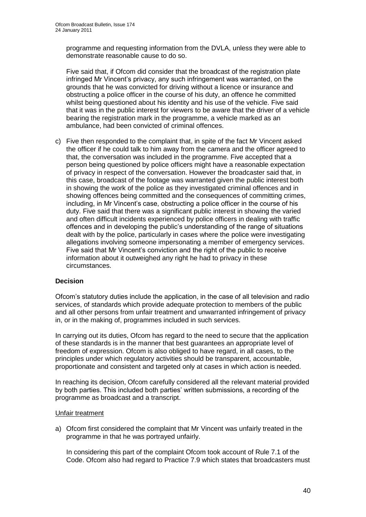programme and requesting information from the DVLA, unless they were able to demonstrate reasonable cause to do so.

Five said that, if Ofcom did consider that the broadcast of the registration plate infringed Mr Vincent"s privacy, any such infringement was warranted, on the grounds that he was convicted for driving without a licence or insurance and obstructing a police officer in the course of his duty, an offence he committed whilst being questioned about his identity and his use of the vehicle. Five said that it was in the public interest for viewers to be aware that the driver of a vehicle bearing the registration mark in the programme, a vehicle marked as an ambulance, had been convicted of criminal offences.

c) Five then responded to the complaint that, in spite of the fact Mr Vincent asked the officer if he could talk to him away from the camera and the officer agreed to that, the conversation was included in the programme. Five accepted that a person being questioned by police officers might have a reasonable expectation of privacy in respect of the conversation. However the broadcaster said that, in this case, broadcast of the footage was warranted given the public interest both in showing the work of the police as they investigated criminal offences and in showing offences being committed and the consequences of committing crimes, including, in Mr Vincent"s case, obstructing a police officer in the course of his duty. Five said that there was a significant public interest in showing the varied and often difficult incidents experienced by police officers in dealing with traffic offences and in developing the public"s understanding of the range of situations dealt with by the police, particularly in cases where the police were investigating allegations involving someone impersonating a member of emergency services. Five said that Mr Vincent"s conviction and the right of the public to receive information about it outweighed any right he had to privacy in these circumstances.

#### **Decision**

Ofcom"s statutory duties include the application, in the case of all television and radio services, of standards which provide adequate protection to members of the public and all other persons from unfair treatment and unwarranted infringement of privacy in, or in the making of, programmes included in such services.

In carrying out its duties, Ofcom has regard to the need to secure that the application of these standards is in the manner that best guarantees an appropriate level of freedom of expression. Ofcom is also obliged to have regard, in all cases, to the principles under which regulatory activities should be transparent, accountable, proportionate and consistent and targeted only at cases in which action is needed.

In reaching its decision, Ofcom carefully considered all the relevant material provided by both parties. This included both parties" written submissions, a recording of the programme as broadcast and a transcript.

#### Unfair treatment

a) Ofcom first considered the complaint that Mr Vincent was unfairly treated in the programme in that he was portrayed unfairly.

In considering this part of the complaint Ofcom took account of Rule 7.1 of the Code. Ofcom also had regard to Practice 7.9 which states that broadcasters must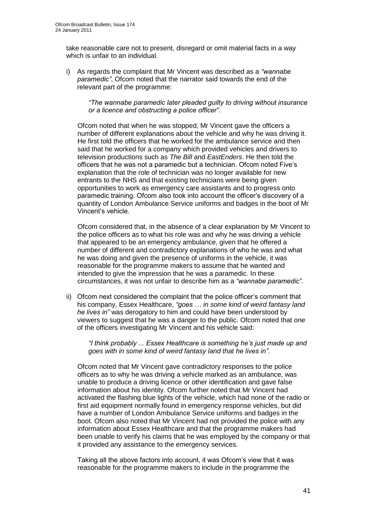take reasonable care not to present, disregard or omit material facts in a way which is unfair to an individual.

i) As regards the complaint that Mr Vincent was described as a *"wannabe paramedic"*, Ofcom noted that the narrator said towards the end of the relevant part of the programme:

*"The wannabe paramedic later pleaded guilty to driving without insurance or a licence and obstructing a police officer".*

Ofcom noted that when he was stopped, Mr Vincent gave the officers a number of different explanations about the vehicle and why he was driving it. He first told the officers that he worked for the ambulance service and then said that he worked for a company which provided vehicles and drivers to television productions such as *The Bill* and *EastEnders*. He then told the officers that he was not a paramedic but a technician. Ofcom noted Five"s explanation that the role of technician was no longer available for new entrants to the NHS and that existing technicians were being given opportunities to work as emergency care assistants and to progress onto paramedic training. Ofcom also took into account the officer"s discovery of a quantity of London Ambulance Service uniforms and badges in the boot of Mr Vincent"s vehicle.

Ofcom considered that, in the absence of a clear explanation by Mr Vincent to the police officers as to what his role was and why he was driving a vehicle that appeared to be an emergency ambulance, given that he offered a number of different and contradictory explanations of who he was and what he was doing and given the presence of uniforms in the vehicle, it was reasonable for the programme makers to assume that he wanted and intended to give the impression that he was a paramedic. In these circumstances, it was not unfair to describe him as a *"wannabe paramedic"*.

ii) Ofcom next considered the complaint that the police officer"s comment that his company, Essex Healthcare, *"goes … in some kind of weird fantasy land he lives in"* was derogatory to him and could have been understood by viewers to suggest that he was a danger to the public. Ofcom noted that one of the officers investigating Mr Vincent and his vehicle said:

*"I think probably ... Essex Healthcare is something he"s just made up and goes with in some kind of weird fantasy land that he lives in".*

Ofcom noted that Mr Vincent gave contradictory responses to the police officers as to why he was driving a vehicle marked as an ambulance, was unable to produce a driving licence or other identification and gave false information about his identity. Ofcom further noted that Mr Vincent had activated the flashing blue lights of the vehicle, which had none of the radio or first aid equipment normally found in emergency response vehicles, but did have a number of London Ambulance Service uniforms and badges in the boot. Ofcom also noted that Mr Vincent had not provided the police with any information about Essex Healthcare and that the programme makers had been unable to verify his claims that he was employed by the company or that it provided any assistance to the emergency services.

Taking all the above factors into account, it was Ofcom"s view that it was reasonable for the programme makers to include in the programme the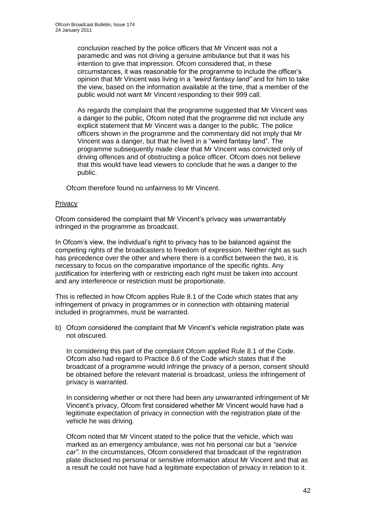conclusion reached by the police officers that Mr Vincent was not a paramedic and was not driving a genuine ambulance but that it was his intention to give that impression. Ofcom considered that, in these circumstances, it was reasonable for the programme to include the officer"s opinion that Mr Vincent was living in a *"weird fantasy land"* and for him to take the view, based on the information available at the time, that a member of the public would not want Mr Vincent responding to their 999 call.

As regards the complaint that the programme suggested that Mr Vincent was a danger to the public, Ofcom noted that the programme did not include any explicit statement that Mr Vincent was a danger to the public. The police officers shown in the programme and the commentary did not imply that Mr Vincent was a danger, but that he lived in a "weird fantasy land". The programme subsequently made clear that Mr Vincent was convicted only of driving offences and of obstructing a police officer. Ofcom does not believe that this would have lead viewers to conclude that he was a danger to the public.

Ofcom therefore found no unfairness to Mr Vincent.

#### **Privacy**

Ofcom considered the complaint that Mr Vincent"s privacy was unwarrantably infringed in the programme as broadcast.

In Ofcom"s view, the individual"s right to privacy has to be balanced against the competing rights of the broadcasters to freedom of expression. Neither right as such has precedence over the other and where there is a conflict between the two, it is necessary to focus on the comparative importance of the specific rights. Any justification for interfering with or restricting each right must be taken into account and any interference or restriction must be proportionate.

This is reflected in how Ofcom applies Rule 8.1 of the Code which states that any infringement of privacy in programmes or in connection with obtaining material included in programmes, must be warranted.

b) Ofcom considered the complaint that Mr Vincent's vehicle registration plate was not obscured.

In considering this part of the complaint Ofcom applied Rule 8.1 of the Code. Ofcom also had regard to Practice 8.6 of the Code which states that if the broadcast of a programme would infringe the privacy of a person, consent should be obtained before the relevant material is broadcast, unless the infringement of privacy is warranted.

In considering whether or not there had been any unwarranted infringement of Mr Vincent"s privacy, Ofcom first considered whether Mr Vincent would have had a legitimate expectation of privacy in connection with the registration plate of the vehicle he was driving.

Ofcom noted that Mr Vincent stated to the police that the vehicle, which was marked as an emergency ambulance, was not his personal car but a *"service car".* In the circumstances, Ofcom considered that broadcast of the registration plate disclosed no personal or sensitive information about Mr Vincent and that as a result he could not have had a legitimate expectation of privacy in relation to it.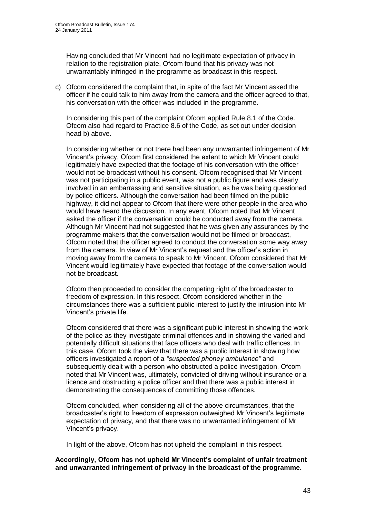Having concluded that Mr Vincent had no legitimate expectation of privacy in relation to the registration plate, Ofcom found that his privacy was not unwarrantably infringed in the programme as broadcast in this respect.

c) Ofcom considered the complaint that, in spite of the fact Mr Vincent asked the officer if he could talk to him away from the camera and the officer agreed to that, his conversation with the officer was included in the programme.

In considering this part of the complaint Ofcom applied Rule 8.1 of the Code. Ofcom also had regard to Practice 8.6 of the Code, as set out under decision head b) above.

In considering whether or not there had been any unwarranted infringement of Mr Vincent"s privacy, Ofcom first considered the extent to which Mr Vincent could legitimately have expected that the footage of his conversation with the officer would not be broadcast without his consent. Ofcom recognised that Mr Vincent was not participating in a public event, was not a public figure and was clearly involved in an embarrassing and sensitive situation, as he was being questioned by police officers. Although the conversation had been filmed on the public highway, it did not appear to Ofcom that there were other people in the area who would have heard the discussion. In any event, Ofcom noted that Mr Vincent asked the officer if the conversation could be conducted away from the camera. Although Mr Vincent had not suggested that he was given any assurances by the programme makers that the conversation would not be filmed or broadcast, Ofcom noted that the officer agreed to conduct the conversation some way away from the camera. In view of Mr Vincent's request and the officer's action in moving away from the camera to speak to Mr Vincent, Ofcom considered that Mr Vincent would legitimately have expected that footage of the conversation would not be broadcast.

Ofcom then proceeded to consider the competing right of the broadcaster to freedom of expression. In this respect, Ofcom considered whether in the circumstances there was a sufficient public interest to justify the intrusion into Mr Vincent"s private life.

Ofcom considered that there was a significant public interest in showing the work of the police as they investigate criminal offences and in showing the varied and potentially difficult situations that face officers who deal with traffic offences. In this case, Ofcom took the view that there was a public interest in showing how officers investigated a report of a *"suspected phoney ambulance"* and subsequently dealt with a person who obstructed a police investigation. Ofcom noted that Mr Vincent was, ultimately, convicted of driving without insurance or a licence and obstructing a police officer and that there was a public interest in demonstrating the consequences of committing those offences.

Ofcom concluded, when considering all of the above circumstances, that the broadcaster"s right to freedom of expression outweighed Mr Vincent"s legitimate expectation of privacy, and that there was no unwarranted infringement of Mr Vincent"s privacy.

In light of the above, Ofcom has not upheld the complaint in this respect.

#### **Accordingly, Ofcom has not upheld Mr Vincent's complaint of unfair treatment and unwarranted infringement of privacy in the broadcast of the programme.**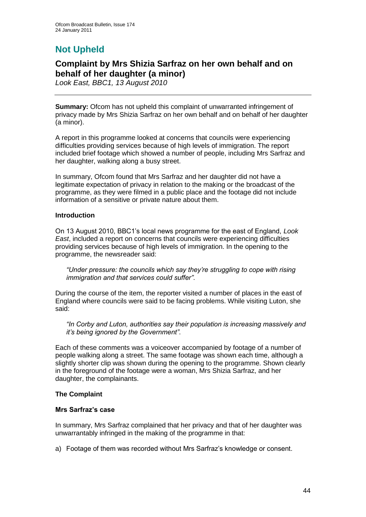# **Not Upheld**

## **Complaint by Mrs Shizia Sarfraz on her own behalf and on behalf of her daughter (a minor)**

*Look East, BBC1, 13 August 2010*

**Summary:** Ofcom has not upheld this complaint of unwarranted infringement of privacy made by Mrs Shizia Sarfraz on her own behalf and on behalf of her daughter (a minor).

A report in this programme looked at concerns that councils were experiencing difficulties providing services because of high levels of immigration. The report included brief footage which showed a number of people, including Mrs Sarfraz and her daughter, walking along a busy street.

In summary, Ofcom found that Mrs Sarfraz and her daughter did not have a legitimate expectation of privacy in relation to the making or the broadcast of the programme, as they were filmed in a public place and the footage did not include information of a sensitive or private nature about them.

#### **Introduction**

On 13 August 2010, BBC1"s local news programme for the east of England, *Look East*, included a report on concerns that councils were experiencing difficulties providing services because of high levels of immigration. In the opening to the programme, the newsreader said:

*"Under pressure: the councils which say they"re struggling to cope with rising immigration and that services could suffer"*.

During the course of the item, the reporter visited a number of places in the east of England where councils were said to be facing problems. While visiting Luton, she said:

*"In Corby and Luton, authorities say their population is increasing massively and it"s being ignored by the Government"*.

Each of these comments was a voiceover accompanied by footage of a number of people walking along a street. The same footage was shown each time, although a slightly shorter clip was shown during the opening to the programme. Shown clearly in the foreground of the footage were a woman, Mrs Shizia Sarfraz, and her daughter, the complainants.

#### **The Complaint**

#### **Mrs Sarfraz's case**

In summary, Mrs Sarfraz complained that her privacy and that of her daughter was unwarrantably infringed in the making of the programme in that:

a) Footage of them was recorded without Mrs Sarfraz's knowledge or consent.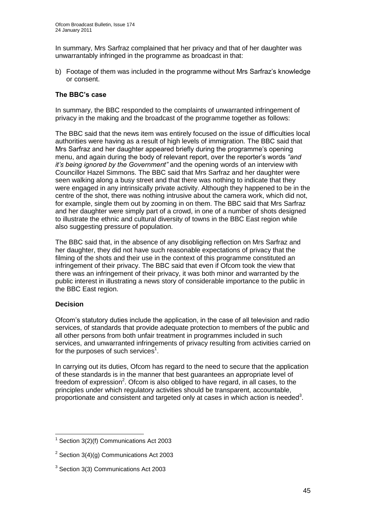In summary, Mrs Sarfraz complained that her privacy and that of her daughter was unwarrantably infringed in the programme as broadcast in that:

b) Footage of them was included in the programme without Mrs Sarfraz's knowledge or consent.

#### **The BBC's case**

In summary, the BBC responded to the complaints of unwarranted infringement of privacy in the making and the broadcast of the programme together as follows:

The BBC said that the news item was entirely focused on the issue of difficulties local authorities were having as a result of high levels of immigration*.* The BBC said that Mrs Sarfraz and her daughter appeared briefly during the programme"s opening menu, and again during the body of relevant report, over the reporter"s words *"and it"s being ignored by the Government"* and the opening words of an interview with Councillor Hazel Simmons. The BBC said that Mrs Sarfraz and her daughter were seen walking along a busy street and that there was nothing to indicate that they were engaged in any intrinsically private activity. Although they happened to be in the centre of the shot, there was nothing intrusive about the camera work, which did not, for example, single them out by zooming in on them. The BBC said that Mrs Sarfraz and her daughter were simply part of a crowd, in one of a number of shots designed to illustrate the ethnic and cultural diversity of towns in the BBC East region while also suggesting pressure of population.

The BBC said that, in the absence of any disobliging reflection on Mrs Sarfraz and her daughter, they did not have such reasonable expectations of privacy that the filming of the shots and their use in the context of this programme constituted an infringement of their privacy. The BBC said that even if Ofcom took the view that there was an infringement of their privacy, it was both minor and warranted by the public interest in illustrating a news story of considerable importance to the public in the BBC East region.

#### **Decision**

Ofcom"s statutory duties include the application, in the case of all television and radio services, of standards that provide adequate protection to members of the public and all other persons from both unfair treatment in programmes included in such services, and unwarranted infringements of privacy resulting from activities carried on for the purposes of such services<sup>1</sup>.

In carrying out its duties, Ofcom has regard to the need to secure that the application of these standards is in the manner that best guarantees an appropriate level of freedom of expression<sup>2</sup>. Ofcom is also obliged to have regard, in all cases, to the principles under which regulatory activities should be transparent, accountable, proportionate and consistent and targeted only at cases in which action is needed<sup>3</sup>.

<sup>1</sup>  $1$  Section 3(2)(f) Communications Act 2003

<sup>&</sup>lt;sup>2</sup> Section 3(4)(g) Communications Act 2003

<sup>&</sup>lt;sup>3</sup> Section 3(3) Communications Act 2003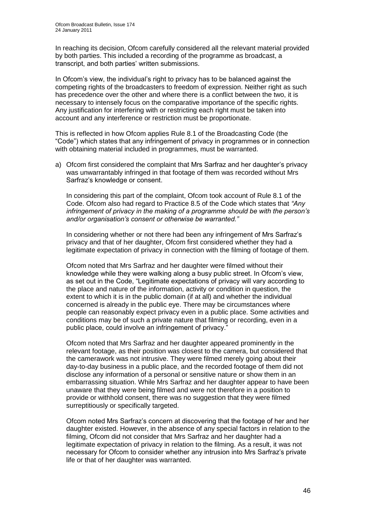In reaching its decision, Ofcom carefully considered all the relevant material provided by both parties. This included a recording of the programme as broadcast, a transcript, and both parties" written submissions.

In Ofcom"s view, the individual"s right to privacy has to be balanced against the competing rights of the broadcasters to freedom of expression. Neither right as such has precedence over the other and where there is a conflict between the two, it is necessary to intensely focus on the comparative importance of the specific rights. Any justification for interfering with or restricting each right must be taken into account and any interference or restriction must be proportionate.

This is reflected in how Ofcom applies Rule 8.1 of the Broadcasting Code (the "Code") which states that any infringement of privacy in programmes or in connection with obtaining material included in programmes, must be warranted.

a) Ofcom first considered the complaint that Mrs Sarfraz and her daughter"s privacy was unwarrantably infringed in that footage of them was recorded without Mrs Sarfraz"s knowledge or consent.

In considering this part of the complaint, Ofcom took account of Rule 8.1 of the Code. Ofcom also had regard to Practice 8.5 of the Code which states that *"Any infringement of privacy in the making of a programme should be with the person"s and/or organisation"s consent or otherwise be warranted."*

In considering whether or not there had been any infringement of Mrs Sarfraz"s privacy and that of her daughter, Ofcom first considered whether they had a legitimate expectation of privacy in connection with the filming of footage of them.

Ofcom noted that Mrs Sarfraz and her daughter were filmed without their knowledge while they were walking along a busy public street. In Ofcom"s view, as set out in the Code, "Legitimate expectations of privacy will vary according to the place and nature of the information, activity or condition in question, the extent to which it is in the public domain (if at all) and whether the individual concerned is already in the public eye. There may be circumstances where people can reasonably expect privacy even in a public place. Some activities and conditions may be of such a private nature that filming or recording, even in a public place, could involve an infringement of privacy."

Ofcom noted that Mrs Sarfraz and her daughter appeared prominently in the relevant footage, as their position was closest to the camera, but considered that the camerawork was not intrusive. They were filmed merely going about their day-to-day business in a public place, and the recorded footage of them did not disclose any information of a personal or sensitive nature or show them in an embarrassing situation. While Mrs Sarfraz and her daughter appear to have been unaware that they were being filmed and were not therefore in a position to provide or withhold consent, there was no suggestion that they were filmed surreptitiously or specifically targeted.

Ofcom noted Mrs Sarfraz"s concern at discovering that the footage of her and her daughter existed. However, in the absence of any special factors in relation to the filming, Ofcom did not consider that Mrs Sarfraz and her daughter had a legitimate expectation of privacy in relation to the filming. As a result, it was not necessary for Ofcom to consider whether any intrusion into Mrs Sarfraz"s private life or that of her daughter was warranted.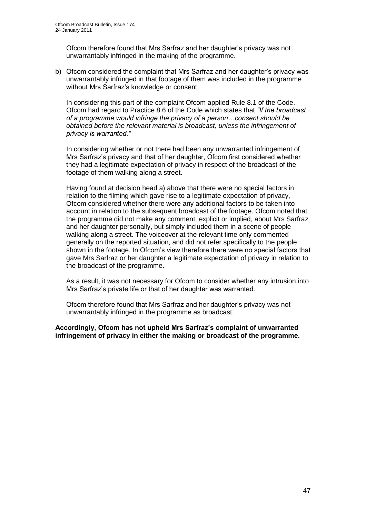Ofcom therefore found that Mrs Sarfraz and her daughter"s privacy was not unwarrantably infringed in the making of the programme.

b) Ofcom considered the complaint that Mrs Sarfraz and her daughter's privacy was unwarrantably infringed in that footage of them was included in the programme without Mrs Sarfraz's knowledge or consent.

In considering this part of the complaint Ofcom applied Rule 8.1 of the Code. Ofcom had regard to Practice 8.6 of the Code which states that *"If the broadcast of a programme would infringe the privacy of a person…consent should be obtained before the relevant material is broadcast, unless the infringement of privacy is warranted."* 

In considering whether or not there had been any unwarranted infringement of Mrs Sarfraz"s privacy and that of her daughter, Ofcom first considered whether they had a legitimate expectation of privacy in respect of the broadcast of the footage of them walking along a street.

Having found at decision head a) above that there were no special factors in relation to the filming which gave rise to a legitimate expectation of privacy, Ofcom considered whether there were any additional factors to be taken into account in relation to the subsequent broadcast of the footage. Ofcom noted that the programme did not make any comment, explicit or implied, about Mrs Sarfraz and her daughter personally, but simply included them in a scene of people walking along a street. The voiceover at the relevant time only commented generally on the reported situation, and did not refer specifically to the people shown in the footage. In Ofcom"s view therefore there were no special factors that gave Mrs Sarfraz or her daughter a legitimate expectation of privacy in relation to the broadcast of the programme.

As a result, it was not necessary for Ofcom to consider whether any intrusion into Mrs Sarfraz"s private life or that of her daughter was warranted.

Ofcom therefore found that Mrs Sarfraz and her daughter"s privacy was not unwarrantably infringed in the programme as broadcast.

**Accordingly, Ofcom has not upheld Mrs Sarfraz's complaint of unwarranted infringement of privacy in either the making or broadcast of the programme.**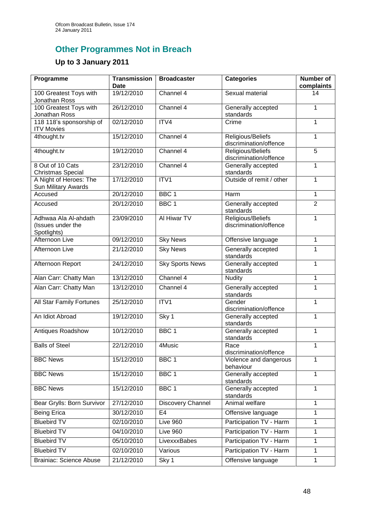# **Other Programmes Not in Breach**

# **Up to 3 January 2011**

| Programme                                                | <b>Transmission</b><br><b>Date</b> | <b>Broadcaster</b>     | <b>Categories</b>                           | <b>Number of</b><br>complaints |
|----------------------------------------------------------|------------------------------------|------------------------|---------------------------------------------|--------------------------------|
| 100 Greatest Toys with<br>Jonathan Ross                  | 19/12/2010                         | Channel 4              | Sexual material                             | 14                             |
| 100 Greatest Toys with<br>Jonathan Ross                  | 26/12/2010                         | Channel 4              | Generally accepted<br>standards             | $\mathbf{1}$                   |
| 118 118's sponsorship of<br><b>ITV Movies</b>            | 02/12/2010                         | ITV4                   | Crime                                       | $\mathbf{1}$                   |
| 4thought.tv                                              | 15/12/2010                         | Channel 4              | Religious/Beliefs<br>discrimination/offence | $\mathbf{1}$                   |
| 4thought.tv                                              | 19/12/2010                         | Channel 4              | Religious/Beliefs<br>discrimination/offence | 5                              |
| 8 Out of 10 Cats<br><b>Christmas Special</b>             | 23/12/2010                         | Channel 4              | Generally accepted<br>standards             | 1                              |
| A Night of Heroes: The<br>Sun Military Awards            | 17/12/2010                         | ITV1                   | Outside of remit / other                    | $\mathbf{1}$                   |
| Accused                                                  | 20/12/2010                         | BBC <sub>1</sub>       | Harm                                        | $\mathbf{1}$                   |
| Accused                                                  | 20/12/2010                         | BBC <sub>1</sub>       | Generally accepted<br>standards             | $\overline{2}$                 |
| Adhwaa Ala Al-ahdath<br>(Issues under the<br>Spotlights) | 23/09/2010                         | Al Hiwar TV            | Religious/Beliefs<br>discrimination/offence | 1                              |
| Afternoon Live                                           | 09/12/2010                         | <b>Sky News</b>        | Offensive language                          | $\mathbf{1}$                   |
| Afternoon Live                                           | 21/12/2010                         | <b>Sky News</b>        | Generally accepted<br>standards             | $\mathbf{1}$                   |
| Afternoon Report                                         | 24/12/2010                         | <b>Sky Sports News</b> | Generally accepted<br>standards             | $\mathbf{1}$                   |
| Alan Carr: Chatty Man                                    | 13/12/2010                         | Channel 4              | <b>Nudity</b>                               | $\mathbf{1}$                   |
| Alan Carr: Chatty Man                                    | 13/12/2010                         | Channel 4              | Generally accepted<br>standards             | $\mathbf{1}$                   |
| <b>All Star Family Fortunes</b>                          | 25/12/2010                         | ITV1                   | Gender<br>discrimination/offence            | $\mathbf{1}$                   |
| An Idiot Abroad                                          | 19/12/2010                         | Sky 1                  | Generally accepted<br>standards             | $\mathbf{1}$                   |
| Antiques Roadshow                                        | 10/12/2010                         | BBC <sub>1</sub>       | Generally accepted<br>standards             | $\mathbf{1}$                   |
| <b>Balls of Steel</b>                                    | 22/12/2010                         | 4Music                 | Race<br>discrimination/offence              | 1                              |
| <b>BBC News</b>                                          | 15/12/2010                         | BBC <sub>1</sub>       | Violence and dangerous<br>behaviour         | $\mathbf{1}$                   |
| <b>BBC News</b>                                          | 15/12/2010                         | BBC <sub>1</sub>       | Generally accepted<br>standards             | $\mathbf{1}$                   |
| <b>BBC News</b>                                          | 15/12/2010                         | BBC <sub>1</sub>       | Generally accepted<br>standards             | $\mathbf{1}$                   |
| Bear Grylls: Born Survivor                               | 27/12/2010                         | Discovery Channel      | Animal welfare                              | $\overline{1}$                 |
| <b>Being Erica</b>                                       | 30/12/2010                         | E <sub>4</sub>         | Offensive language                          | 1                              |
| <b>Bluebird TV</b>                                       | 02/10/2010                         | Live 960               | Participation TV - Harm                     | $\mathbf{1}$                   |
| <b>Bluebird TV</b>                                       | 04/10/2010                         | Live 960               | Participation TV - Harm                     | $\mathbf{1}$                   |
| <b>Bluebird TV</b>                                       | 05/10/2010                         | LivexxxBabes           | Participation TV - Harm                     | $\mathbf{1}$                   |
| <b>Bluebird TV</b>                                       | 02/10/2010                         | Various                | Participation TV - Harm                     | $\mathbf{1}$                   |
| <b>Brainiac: Science Abuse</b>                           | 21/12/2010                         | Sky 1                  | Offensive language                          | $\mathbf{1}$                   |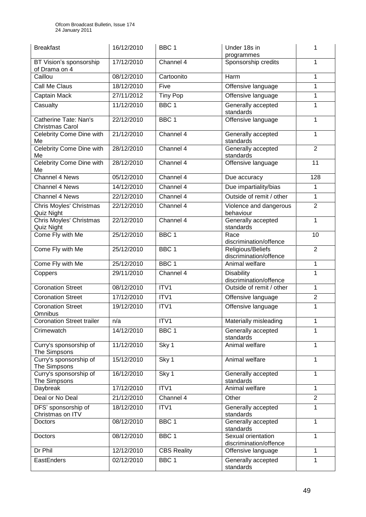| <b>Breakfast</b>                                | 16/12/2010 | BBC <sub>1</sub>   | Under 18s in<br>programmes                   | 1              |
|-------------------------------------------------|------------|--------------------|----------------------------------------------|----------------|
| BT Vision's sponsorship<br>of Drama on 4        | 17/12/2010 | Channel 4          | Sponsorship credits                          | 1              |
| Caillou                                         | 08/12/2010 | Cartoonito         | <b>Harm</b>                                  | 1              |
| Call Me Claus                                   | 18/12/2010 | Five               | Offensive language                           | $\mathbf{1}$   |
| Captain Mack                                    | 27/11/2012 | <b>Tiny Pop</b>    | Offensive language                           | 1              |
| Casualty                                        | 11/12/2010 | BBC <sub>1</sub>   | Generally accepted<br>standards              | 1              |
| Catherine Tate: Nan's<br><b>Christmas Carol</b> | 22/12/2010 | BBC <sub>1</sub>   | Offensive language                           | 1              |
| Celebrity Come Dine with<br>Me                  | 21/12/2010 | Channel 4          | Generally accepted<br>standards              | 1              |
| Celebrity Come Dine with<br>Me                  | 28/12/2010 | Channel 4          | Generally accepted<br>standards              | $\overline{2}$ |
| <b>Celebrity Come Dine with</b><br>Me           | 28/12/2010 | Channel 4          | Offensive language                           | 11             |
| Channel 4 News                                  | 05/12/2010 | Channel 4          | Due accuracy                                 | 128            |
| <b>Channel 4 News</b>                           | 14/12/2010 | Channel $4$        | Due impartiality/bias                        | 1              |
| <b>Channel 4 News</b>                           | 22/12/2010 | Channel 4          | Outside of remit / other                     | 1              |
| Chris Moyles' Christmas<br>Quiz Night           | 22/12/2010 | Channel 4          | Violence and dangerous<br>behaviour          | $\overline{2}$ |
| <b>Chris Moyles' Christmas</b><br>Quiz Night    | 22/12/2010 | Channel $4$        | Generally accepted<br>standards              | 1              |
| Come Fly with Me                                | 25/12/2010 | BBC <sub>1</sub>   | Race<br>discrimination/offence               | 10             |
| Come Fly with Me                                | 25/12/2010 | BBC <sub>1</sub>   | Religious/Beliefs<br>discrimination/offence  | $\overline{2}$ |
| Come Fly with Me                                | 25/12/2010 | BBC <sub>1</sub>   | Animal welfare                               | 1              |
| Coppers                                         | 29/11/2010 | Channel 4          | Disability<br>discrimination/offence         | 1              |
| <b>Coronation Street</b>                        | 08/12/2010 | ITV1               | Outside of remit / other                     | 1              |
| <b>Coronation Street</b>                        | 17/12/2010 | ITV1               | Offensive language                           | $\overline{c}$ |
| <b>Coronation Street</b><br>Omnibus             | 19/12/2010 | ITV1               | Offensive language                           | 1              |
| <b>Coronation Street trailer</b>                | n/a        | ITV1               | Materially misleading                        | 1              |
| Crimewatch                                      | 14/12/2010 | BBC <sub>1</sub>   | Generally accepted<br>standards              | 1              |
| Curry's sponsorship of<br>The Simpsons          | 11/12/2010 | Sky 1              | Animal welfare                               | 1              |
| Curry's sponsorship of<br>The Simpsons          | 15/12/2010 | Sky 1              | Animal welfare                               | 1              |
| Curry's sponsorship of<br>The Simpsons          | 16/12/2010 | Sky 1              | Generally accepted<br>standards              | 1              |
| Daybreak                                        | 17/12/2010 | ITV1               | Animal welfare                               | 1              |
| Deal or No Deal                                 | 21/12/2010 | Channel 4          | Other                                        | $\overline{2}$ |
| DFS' sponsorship of<br>Christmas on ITV         | 18/12/2010 | ITV1               | Generally accepted<br>standards              | 1              |
| Doctors                                         | 08/12/2010 | BBC <sub>1</sub>   | Generally accepted<br>standards              | 1              |
| Doctors                                         | 08/12/2010 | BBC <sub>1</sub>   | Sexual orientation<br>discrimination/offence | 1              |
| Dr Phil                                         | 12/12/2010 | <b>CBS Reality</b> | Offensive language                           | $\mathbf{1}$   |
| EastEnders                                      | 02/12/2010 | BBC <sub>1</sub>   | Generally accepted<br>standards              | 1              |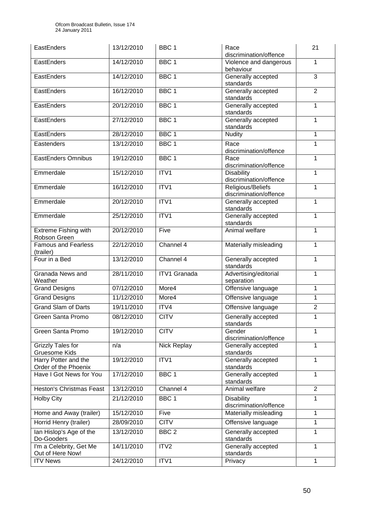| EastEnders                                   | 13/12/2010 | BBC <sub>1</sub>    | Race<br>discrimination/offence              | 21             |
|----------------------------------------------|------------|---------------------|---------------------------------------------|----------------|
| EastEnders                                   | 14/12/2010 | BBC <sub>1</sub>    | Violence and dangerous<br>behaviour         | 1              |
| EastEnders                                   | 14/12/2010 | BBC <sub>1</sub>    | Generally accepted<br>standards             | $\overline{3}$ |
| EastEnders                                   | 16/12/2010 | BBC <sub>1</sub>    | Generally accepted<br>standards             | $\overline{2}$ |
| EastEnders                                   | 20/12/2010 | BBC <sub>1</sub>    | Generally accepted<br>standards             | 1              |
| EastEnders                                   | 27/12/2010 | BBC <sub>1</sub>    | Generally accepted<br>standards             | 1              |
| EastEnders                                   | 28/12/2010 | BBC <sub>1</sub>    | <b>Nudity</b>                               | 1              |
| Eastenders                                   | 13/12/2010 | BBC <sub>1</sub>    | Race<br>discrimination/offence              | 1              |
| <b>EastEnders Omnibus</b>                    | 19/12/2010 | BBC <sub>1</sub>    | Race<br>discrimination/offence              | 1              |
| Emmerdale                                    | 15/12/2010 | ITV1                | <b>Disability</b><br>discrimination/offence | 1              |
| Emmerdale                                    | 16/12/2010 | ITV1                | Religious/Beliefs<br>discrimination/offence | 1              |
| Emmerdale                                    | 20/12/2010 | ITV1                | Generally accepted<br>standards             | 1              |
| Emmerdale                                    | 25/12/2010 | ITV1                | Generally accepted<br>standards             | 1              |
| Extreme Fishing with<br>Robson Green         | 20/12/2010 | Five                | Animal welfare                              | 1              |
| <b>Famous and Fearless</b><br>(trailer)      | 22/12/2010 | Channel 4           | Materially misleading                       | 1              |
| Four in a Bed                                | 13/12/2010 | Channel 4           | Generally accepted<br>standards             | 1              |
| Granada News and<br>Weather                  | 28/11/2010 | <b>ITV1 Granada</b> | Advertising/editorial<br>separation         | 1              |
| <b>Grand Designs</b>                         | 07/12/2010 | More4               | Offensive language                          | 1              |
| Grand Designs                                | 11/12/2010 | More4               | Offensive language                          | 1              |
| <b>Grand Slam of Darts</b>                   | 19/11/2010 | ITV4                | Offensive language                          | $\overline{2}$ |
| Green Santa Promo                            | 08/12/2010 | <b>CITV</b>         | Generally accepted<br>standards             | 1              |
| Green Santa Promo                            | 19/12/2010 | <b>CITV</b>         | Gender<br>discrimination/offence            | 1              |
| Grizzly Tales for<br><b>Gruesome Kids</b>    | n/a        | Nick Replay         | Generally accepted<br>standards             | 1              |
| Harry Potter and the<br>Order of the Phoenix | 19/12/2010 | ITV1                | Generally accepted<br>standards             | 1              |
| Have I Got News for You                      | 17/12/2010 | BBC <sub>1</sub>    | Generally accepted<br>standards             | 1              |
| <b>Heston's Christmas Feast</b>              | 13/12/2010 | Channel 4           | Animal welfare                              | $\overline{2}$ |
| <b>Holby City</b>                            | 21/12/2010 | BBC <sub>1</sub>    | Disability<br>discrimination/offence        | 1              |
| Home and Away (trailer)                      | 15/12/2010 | Five                | Materially misleading                       | 1              |
| Horrid Henry (trailer)                       | 28/09/2010 | <b>CITV</b>         | Offensive language                          | 1              |
| lan Hislop's Age of the<br>Do-Gooders        | 13/12/2010 | BBC <sub>2</sub>    | Generally accepted<br>standards             | 1              |
| I'm a Celebrity, Get Me<br>Out of Here Now!  | 14/11/2010 | ITV2                | Generally accepted<br>standards             | 1              |
| <b>ITV News</b>                              | 24/12/2010 | ITV1                | Privacy                                     | 1              |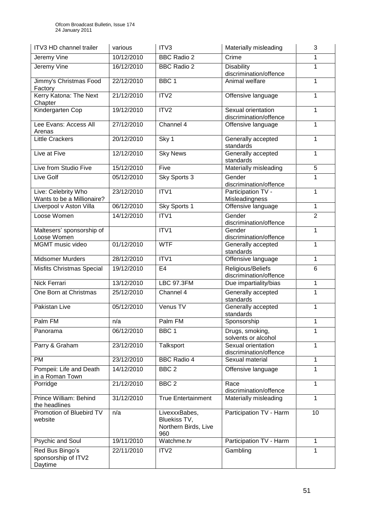| ITV3 HD channel trailer                           | various    | ITV3                                                         | Materially misleading                        | 3              |
|---------------------------------------------------|------------|--------------------------------------------------------------|----------------------------------------------|----------------|
| Jeremy Vine                                       | 10/12/2010 | <b>BBC Radio 2</b>                                           | Crime                                        | 1              |
| Jeremy Vine                                       | 16/12/2010 | <b>BBC Radio 2</b>                                           | Disability<br>discrimination/offence         | 1              |
| Jimmy's Christmas Food<br>Factory                 | 22/12/2010 | BBC <sub>1</sub>                                             | Animal welfare                               | 1              |
| Kerry Katona: The Next<br>Chapter                 | 21/12/2010 | ITV2                                                         | Offensive language                           | 1              |
| Kindergarten Cop                                  | 19/12/2010 | ITV <sub>2</sub>                                             | Sexual orientation<br>discrimination/offence | 1              |
| Lee Evans: Access All<br>Arenas                   | 27/12/2010 | Channel 4                                                    | Offensive language                           | 1              |
| <b>Little Crackers</b>                            | 20/12/2010 | Sky 1                                                        | Generally accepted<br>standards              | 1              |
| Live at Five                                      | 12/12/2010 | <b>Sky News</b>                                              | Generally accepted<br>standards              | 1              |
| Live from Studio Five                             | 15/12/2010 | Five                                                         | Materially misleading                        | $\overline{5}$ |
| Live Golf                                         | 05/12/2010 | Sky Sports 3                                                 | Gender<br>discrimination/offence             | 1              |
| Live: Celebrity Who<br>Wants to be a Millionaire? | 23/12/2010 | ITV1                                                         | Participation TV -<br>Misleadingness         | 1              |
| Liverpool v Aston Villa                           | 06/12/2010 | Sky Sports 1                                                 | Offensive language                           | 1              |
| Loose Women                                       | 14/12/2010 | ITV1                                                         | Gender<br>discrimination/offence             | $\overline{2}$ |
| Maltesers' sponsorship of<br>Loose Women          |            | ITV1                                                         | Gender<br>discrimination/offence             | 1              |
| MGMT music video                                  | 01/12/2010 | <b>WTF</b>                                                   | Generally accepted<br>standards              | 1              |
| Midsomer Murders                                  | 28/12/2010 | ITV1                                                         | Offensive language                           | 1              |
| Misfits Christmas Special                         | 19/12/2010 | E <sub>4</sub>                                               | Religious/Beliefs<br>discrimination/offence  | 6              |
| <b>Nick Ferrari</b>                               | 13/12/2010 | <b>LBC 97.3FM</b>                                            | Due impartiality/bias                        | 1              |
| One Born at Christmas                             | 25/12/2010 | Channel 4                                                    | Generally accepted<br>standards              | 1              |
| Pakistan Live                                     | 05/12/2010 | Venus TV                                                     | Generally accepted<br>standards              | 1              |
| Palm FM                                           | n/a        | Palm FM                                                      | Sponsorship                                  | 1              |
| Panorama                                          | 06/12/2010 | BBC <sub>1</sub>                                             | Drugs, smoking,<br>solvents or alcohol       | 1              |
| Parry & Graham                                    | 23/12/2010 | Talksport                                                    | Sexual orientation<br>discrimination/offence | 1              |
| PM                                                | 23/12/2010 | <b>BBC Radio 4</b>                                           | Sexual material                              | 1              |
| Pompeii: Life and Death<br>in a Roman Town        | 14/12/2010 | BBC <sub>2</sub>                                             | Offensive language                           | 1              |
| Porridge                                          | 21/12/2010 | BBC <sub>2</sub>                                             | Race<br>discrimination/offence               | 1              |
| Prince William: Behind<br>the headlines           | 31/12/2010 | <b>True Entertainment</b>                                    | Materially misleading                        | 1              |
| Promotion of Bluebird TV<br>website               | n/a        | LivexxxBabes,<br>Bluekiss TV,<br>Northern Birds, Live<br>960 | Participation TV - Harm                      | 10             |
| Psychic and Soul                                  | 19/11/2010 | Watchme.tv                                                   | Participation TV - Harm                      | 1              |
| Red Bus Bingo's<br>sponsorship of ITV2<br>Daytime | 22/11/2010 | ITV2                                                         | Gambling                                     | 1              |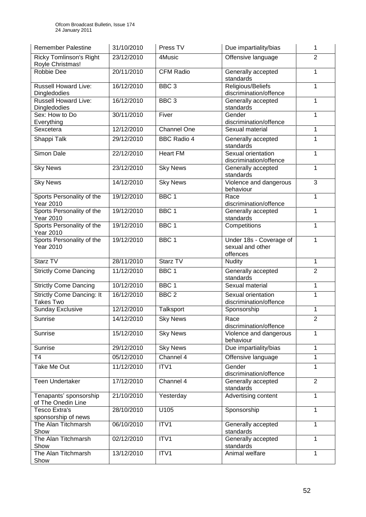| <b>Remember Palestine</b>                            | 31/10/2010 | Press TV           | Due impartiality/bias                                   | 1              |
|------------------------------------------------------|------------|--------------------|---------------------------------------------------------|----------------|
| <b>Ricky Tomlinson's Right</b><br>Royle Christmas!   | 23/12/2010 | 4Music             | Offensive language                                      | $\overline{2}$ |
| <b>Robbie Dee</b>                                    | 20/11/2010 | <b>CFM Radio</b>   | Generally accepted<br>standards                         | 1              |
| <b>Russell Howard Live:</b><br>Dingledodies          | 16/12/2010 | BBC <sub>3</sub>   | Religious/Beliefs<br>discrimination/offence             | 1              |
| <b>Russell Howard Live:</b><br>Dingledodies          | 16/12/2010 | BBC <sub>3</sub>   | Generally accepted<br>standards                         | 1              |
| Sex: How to Do<br>Everything                         | 30/11/2010 | Fiver              | Gender<br>discrimination/offence                        | 1              |
| Sexcetera                                            | 12/12/2010 | Channel One        | Sexual material                                         | 1              |
| Shappi Talk                                          | 29/12/2010 | <b>BBC Radio 4</b> | Generally accepted<br>standards                         | 1              |
| Simon Dale                                           | 22/12/2010 | <b>Heart FM</b>    | Sexual orientation<br>discrimination/offence            | 1              |
| <b>Sky News</b>                                      | 23/12/2010 | <b>Sky News</b>    | Generally accepted<br>standards                         | 1              |
| <b>Sky News</b>                                      | 14/12/2010 | <b>Sky News</b>    | Violence and dangerous<br>behaviour                     | 3              |
| Sports Personality of the<br><b>Year 2010</b>        | 19/12/2010 | BBC <sub>1</sub>   | Race<br>discrimination/offence                          | 1              |
| Sports Personality of the<br><b>Year 2010</b>        | 19/12/2010 | BBC <sub>1</sub>   | Generally accepted<br>standards                         | 1              |
| Sports Personality of the<br><b>Year 2010</b>        | 19/12/2010 | BBC <sub>1</sub>   | Competitions                                            | 1              |
| Sports Personality of the<br><b>Year 2010</b>        | 19/12/2010 | BBC <sub>1</sub>   | Under 18s - Coverage of<br>sexual and other<br>offences | 1              |
| Starz TV                                             | 28/11/2010 | Starz TV           | <b>Nudity</b>                                           | 1              |
| <b>Strictly Come Dancing</b>                         | 11/12/2010 | BBC <sub>1</sub>   | Generally accepted<br>standards                         | $\overline{2}$ |
| <b>Strictly Come Dancing</b>                         | 10/12/2010 | BBC <sub>1</sub>   | Sexual material                                         | 1              |
| <b>Strictly Come Dancing: It</b><br><b>Takes Two</b> | 16/12/2010 | BBC <sub>2</sub>   | Sexual orientation<br>discrimination/offence            | 1              |
| <b>Sunday Exclusive</b>                              | 12/12/2010 | Talksport          | Sponsorship                                             | 1              |
| Sunrise                                              | 14/12/2010 | <b>Sky News</b>    | Race<br>discrimination/offence                          | $\overline{2}$ |
| Sunrise                                              | 15/12/2010 | <b>Sky News</b>    | Violence and dangerous<br>behaviour                     | 1              |
| Sunrise                                              | 29/12/2010 | <b>Sky News</b>    | Due impartiality/bias                                   | $\mathbf{1}$   |
| T <sub>4</sub>                                       | 05/12/2010 | Channel 4          | Offensive language                                      | 1              |
| <b>Take Me Out</b>                                   | 11/12/2010 | ITVI               | Gender<br>discrimination/offence                        | 1              |
| <b>Teen Undertaker</b>                               | 17/12/2010 | Channel 4          | Generally accepted<br>standards                         | $\overline{2}$ |
| Tenapants' sponsorship<br>of The Onedin Line         | 21/10/2010 | Yesterday          | Advertising content                                     | 1              |
| <b>Tesco Extra's</b><br>sponsorship of news          | 28/10/2010 | U105               | Sponsorship                                             | 1              |
| The Alan Titchmarsh<br>Show                          | 06/10/2010 | ITV1               | Generally accepted<br>standards                         | $\mathbf{1}$   |
| The Alan Titchmarsh<br>Show                          | 02/12/2010 | ITV1               | Generally accepted<br>standards                         | 1              |
| The Alan Titchmarsh<br>Show                          | 13/12/2010 | ITV1               | Animal welfare                                          | 1              |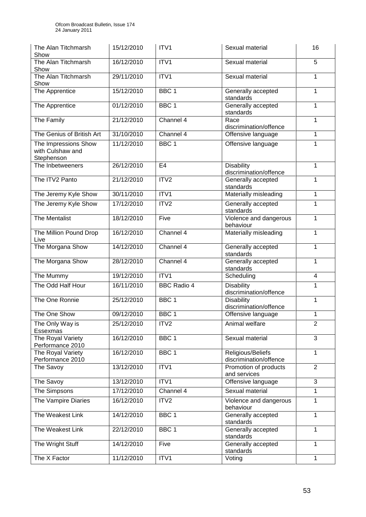| The Alan Titchmarsh<br>Show                            | 15/12/2010 | ITV1               | Sexual material                             | 16             |
|--------------------------------------------------------|------------|--------------------|---------------------------------------------|----------------|
| The Alan Titchmarsh<br>Show                            | 16/12/2010 | ITV1               | Sexual material                             | 5              |
| The Alan Titchmarsh<br>Show                            | 29/11/2010 | ITV1               | Sexual material                             | 1              |
| The Apprentice                                         | 15/12/2010 | BBC <sub>1</sub>   | Generally accepted<br>standards             | 1              |
| The Apprentice                                         | 01/12/2010 | BBC <sub>1</sub>   | Generally accepted<br>standards             | 1              |
| The Family                                             | 21/12/2010 | Channel 4          | Race<br>discrimination/offence              | 1              |
| The Genius of British Art                              | 31/10/2010 | Channel 4          | Offensive language                          | 1              |
| The Impressions Show<br>with Culshaw and<br>Stephenson | 11/12/2010 | BBC <sub>1</sub>   | Offensive language                          | 1              |
| The Inbetweeners                                       | 26/12/2010 | E <sub>4</sub>     | Disability<br>discrimination/offence        | 1              |
| The ITV2 Panto                                         | 21/12/2010 | ITV2               | Generally accepted<br>standards             | 1              |
| The Jeremy Kyle Show                                   | 30/11/2010 | ITV1               | Materially misleading                       | 1              |
| The Jeremy Kyle Show                                   | 17/12/2010 | ITV2               | Generally accepted<br>standards             | 1              |
| <b>The Mentalist</b>                                   | 18/12/2010 | Five               | Violence and dangerous<br>behaviour         | 1              |
| The Million Pound Drop<br>Live                         | 16/12/2010 | Channel 4          | Materially misleading                       | 1              |
| The Morgana Show                                       | 14/12/2010 | Channel 4          | Generally accepted<br>standards             | 1              |
| The Morgana Show                                       | 28/12/2010 | Channel 4          | Generally accepted<br>standards             | 1              |
| The Mummy                                              | 19/12/2010 | ITV1               | Scheduling                                  | $\overline{4}$ |
| The Odd Half Hour                                      | 16/11/2010 | <b>BBC Radio 4</b> | <b>Disability</b><br>discrimination/offence | 1              |
| The One Ronnie                                         | 25/12/2010 | BBC <sub>1</sub>   | <b>Disability</b><br>discrimination/offence | 1              |
| The One Show                                           | 09/12/2010 | BBC <sub>1</sub>   | Offensive language                          | 1              |
| The Only Way is<br>Essexmas                            | 25/12/2010 | ITV <sub>2</sub>   | Animal welfare                              | $\overline{2}$ |
| The Royal Variety<br>Performance 2010                  | 16/12/2010 | BBC 1              | Sexual material                             | 3              |
| The Royal Variety<br>Performance 2010                  | 16/12/2010 | BBC <sub>1</sub>   | Religious/Beliefs<br>discrimination/offence | 1              |
| The Savoy                                              | 13/12/2010 | ITV1               | Promotion of products<br>and services       | $\overline{2}$ |
| The Savoy                                              | 13/12/2010 | ITV1               | Offensive language                          | $\overline{3}$ |
| The Simpsons                                           | 17/12/2010 | Channel 4          | Sexual material                             | 1              |
| The Vampire Diaries                                    | 16/12/2010 | ITV2               | Violence and dangerous<br>behaviour         | 1              |
| The Weakest Link                                       | 14/12/2010 | BBC <sub>1</sub>   | Generally accepted<br>standards             | 1              |
| The Weakest Link                                       | 22/12/2010 | BBC <sub>1</sub>   | Generally accepted<br>standards             | 1              |
| The Wright Stuff                                       | 14/12/2010 | Five               | Generally accepted<br>standards             | 1              |
| The X Factor                                           | 11/12/2010 | ITV1               | Voting                                      | 1              |